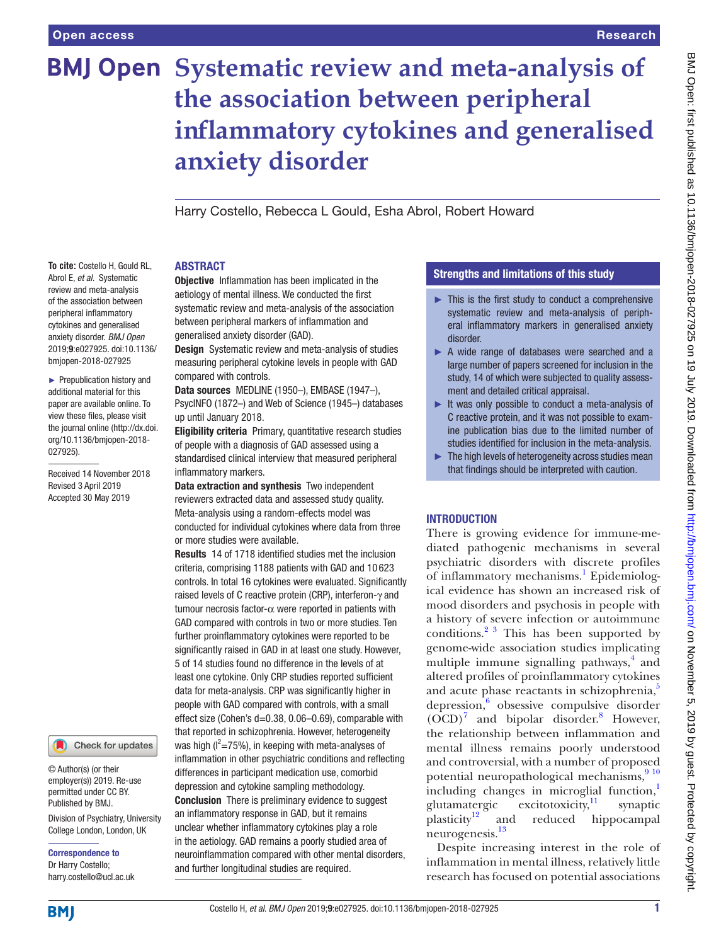**To cite:** Costello H, Gould RL, Abrol E, *et al*. Systematic review and meta-analysis of the association between peripheral inflammatory cytokines and generalised anxiety disorder. *BMJ Open* 2019;9:e027925. doi:10.1136/ bmjopen-2018-027925 ► Prepublication history and additional material for this paper are available online. To view these files, please visit the journal online (http://dx.doi. org/10.1136/bmjopen-2018-

027925).

Received 14 November 2018 Revised 3 April 2019 Accepted 30 May 2019

# **BMJ Open** Systematic review and meta-analysis of **the association between peripheral inflammatory cytokines and generalised anxiety disorder**

Harry Costello, Rebecca L Gould, Esha Abrol, Robert Howard

#### **ABSTRACT**

Objective Inflammation has been implicated in the aetiology of mental illness. We conducted the first systematic review and meta-analysis of the association between peripheral markers of inflammation and generalised anxiety disorder (GAD).

Design Systematic review and meta-analysis of studies measuring peripheral cytokine levels in people with GAD compared with controls.

Data sources MEDLINE (1950–), EMBASE (1947–), PsycINFO (1872–) and Web of Science (1945–) databases up until January 2018.

Eligibility criteria Primary, quantitative research studies of people with a diagnosis of GAD assessed using a standardised clinical interview that measured peripheral inflammatory markers.

Data extraction and synthesis Two independent reviewers extracted data and assessed study quality. Meta-analysis using a random-effects model was conducted for individual cytokines where data from three or more studies were available.

Results 14 of 1718 identified studies met the inclusion criteria, comprising 1188 patients with GAD and 10 623 controls. In total 16 cytokines were evaluated. Significantly raised levels of C reactive protein (CRP), interferon-γ and tumour necrosis factor- $\alpha$  were reported in patients with GAD compared with controls in two or more studies. Ten further proinflammatory cytokines were reported to be significantly raised in GAD in at least one study. However, 5 of 14 studies found no difference in the levels of at least one cytokine. Only CRP studies reported sufficient data for meta-analysis. CRP was significantly higher in people with GAD compared with controls, with a small effect size (Cohen's d=0.38, 0.06–0.69), comparable with that reported in schizophrenia. However, heterogeneity was high ( $l^2$ =75%), in keeping with meta-analyses of inflammation in other psychiatric conditions and reflecting differences in participant medication use, comorbid depression and cytokine sampling methodology. **Conclusion** There is preliminary evidence to suggest an inflammatory response in GAD, but it remains unclear whether inflammatory cytokines play a role in the aetiology. GAD remains a poorly studied area of neuroinflammation compared with other mental disorders, and further longitudinal studies are required.

# Strengths and limitations of this study

- $\blacktriangleright$  This is the first study to conduct a comprehensive systematic review and meta-analysis of peripheral inflammatory markers in generalised anxiety disorder.
- ► A wide range of databases were searched and a large number of papers screened for inclusion in the study, 14 of which were subjected to quality assessment and detailed critical appraisal.
- ► It was only possible to conduct a meta-analysis of C reactive protein, and it was not possible to examine publication bias due to the limited number of studies identified for inclusion in the meta-analysis.
- $\blacktriangleright$  The high levels of heterogeneity across studies mean that findings should be interpreted with caution.

# **INTRODUCTION**

There is growing evidence for immune-mediated pathogenic mechanisms in several psychiatric disorders with discrete profiles of inflammatory mechanisms.<sup>1</sup> Epidemiological evidence has shown an increased risk of mood disorders and psychosis in people with a history of severe infection or autoimmune conditions.<sup>2 3</sup> This has been supported by genome-wide association studies implicating multiple immune signalling pathways,<sup>[4](#page-14-2)</sup> and altered profiles of proinflammatory cytokines and acute phase reactants in schizophrenia,<sup>5</sup> depression,<sup>[6](#page-14-4)</sup> obsessive compulsive disorder (OCD)[7](#page-14-5) and bipolar disorder.[8](#page-14-6) However, the relationship between inflammation and mental illness remains poorly understood and controversial, with a number of proposed potential neuropathological mechanisms, [9 10](#page-14-7) including changes in microglial function,<sup>[1](#page-14-0)</sup> glutamatergic excitotoxicity, $\frac{11}{1}$  $\frac{11}{1}$  $\frac{11}{1}$  synaptic  $p$ lasticity<sup>12</sup> and reduced hippocampal neurogenesis.<sup>[13](#page-14-10)</sup>

Despite increasing interest in the role of inflammation in mental illness, relatively little research has focused on potential associations

employer(s)) 2019. Re-use permitted under CC BY.

© Author(s) (or their

Published by BMJ.

Division of Psychiatry, University College London, London, UK

Check for updates

Correspondence to Dr Harry Costello; harry.costello@ucl.ac.uk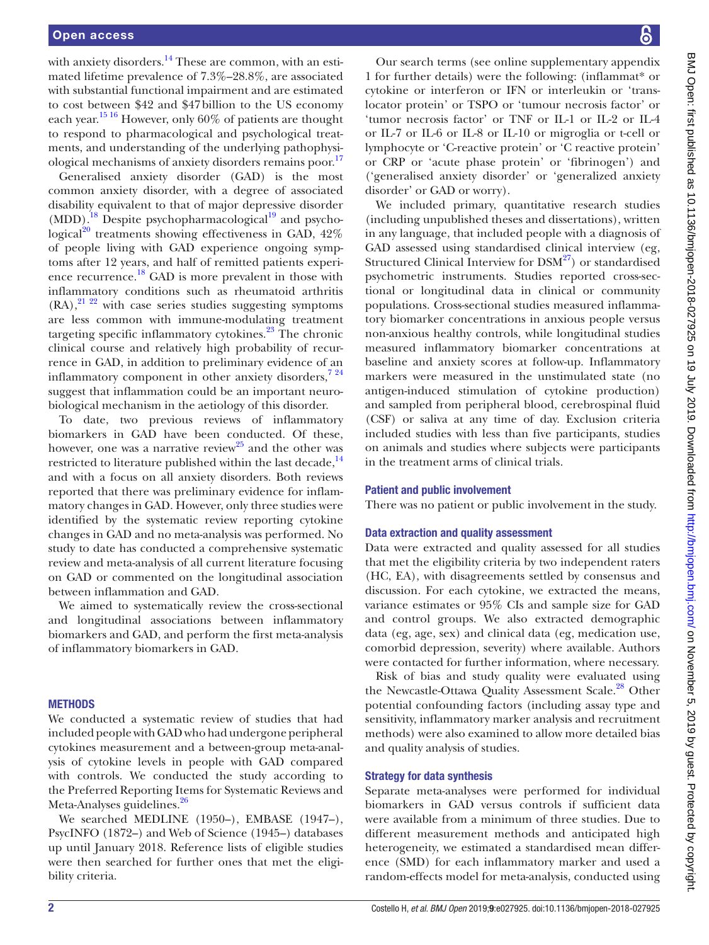with anxiety disorders.<sup>14</sup> These are common, with an estimated lifetime prevalence of 7.3%–28.8%, are associated with substantial functional impairment and are estimated to cost between \$42 and \$47billion to the US economy each year.<sup>1516</sup> However, only 60% of patients are thought to respond to pharmacological and psychological treatments, and understanding of the underlying pathophysi-ological mechanisms of anxiety disorders remains poor.<sup>[17](#page-14-13)</sup>

Generalised anxiety disorder (GAD) is the most common anxiety disorder, with a degree of associated disability equivalent to that of major depressive disorder  $(MDD)$ .<sup>18</sup> Despite psychopharmacological<sup>19</sup> and psychological<sup>20</sup> treatments showing effectiveness in GAD,  $42\%$ of people living with GAD experience ongoing symptoms after 12 years, and half of remitted patients experi-ence recurrence.<sup>[18](#page-14-14)</sup> GAD is more prevalent in those with inflammatory conditions such as rheumatoid arthritis  $(RA)$ ,  $^{21}$   $^{22}$  with case series studies suggesting symptoms are less common with immune-modulating treatment targeting specific inflammatory cytokines.<sup>23</sup> The chronic clinical course and relatively high probability of recurrence in GAD, in addition to preliminary evidence of an inflammatory component in other anxiety disorders, $724$ suggest that inflammation could be an important neurobiological mechanism in the aetiology of this disorder.

To date, two previous reviews of inflammatory biomarkers in GAD have been conducted. Of these, however, one was a narrative review<sup>[25](#page-15-0)</sup> and the other was restricted to literature published within the last decade,  $14$ and with a focus on all anxiety disorders. Both reviews reported that there was preliminary evidence for inflammatory changes in GAD. However, only three studies were identified by the systematic review reporting cytokine changes in GAD and no meta-analysis was performed. No study to date has conducted a comprehensive systematic review and meta-analysis of all current literature focusing on GAD or commented on the longitudinal association between inflammation and GAD.

We aimed to systematically review the cross-sectional and longitudinal associations between inflammatory biomarkers and GAD, and perform the first meta-analysis of inflammatory biomarkers in GAD.

#### **METHODS**

We conducted a systematic review of studies that had included people with GAD who had undergone peripheral cytokines measurement and a between-group meta-analysis of cytokine levels in people with GAD compared with controls. We conducted the study according to the Preferred Reporting Items for Systematic Reviews and Meta-Analyses guidelines.<sup>[26](#page-15-1)</sup>

We searched MEDLINE (1950–), EMBASE (1947–), PsycINFO (1872–) and Web of Science (1945–) databases up until January 2018. Reference lists of eligible studies were then searched for further ones that met the eligibility criteria.

BMJ Open: first published as 10.1136/bmijopen-2018-027925 on 19 July 2019. Downloaded from http://bmjopen.bmj.com/ on November 5, 2019 by guest. Protected by copyright BMJ Open: first published as 10.1136/bmjopen-2018-027925 on 19 July 2019. Downloaded from <http://bmjopen.bmj.com/> on November 5, 2019 og asst. Protected by copyright.

Our search terms (see online [supplementary appendix](https://dx.doi.org/10.1136/bmjopen-2018-027925)  [1](https://dx.doi.org/10.1136/bmjopen-2018-027925) for further details) were the following: (inflammat\* or cytokine or interferon or IFN or interleukin or 'translocator protein' or TSPO or 'tumour necrosis factor' or 'tumor necrosis factor' or TNF or IL-1 or IL-2 or IL-4 or IL-7 or IL-6 or IL-8 or IL-10 or migroglia or t-cell or lymphocyte or 'C-reactive protein' or 'C reactive protein' or CRP or 'acute phase protein' or 'fibrinogen') and ('generalised anxiety disorder' or 'generalized anxiety disorder' or GAD or worry).

We included primary, quantitative research studies (including unpublished theses and dissertations), written in any language, that included people with a diagnosis of GAD assessed using standardised clinical interview (eg, Structured Clinical Interview for  $DSM^{27}$  or standardised psychometric instruments. Studies reported cross-sectional or longitudinal data in clinical or community populations. Cross-sectional studies measured inflammatory biomarker concentrations in anxious people versus non-anxious healthy controls, while longitudinal studies measured inflammatory biomarker concentrations at baseline and anxiety scores at follow-up. Inflammatory markers were measured in the unstimulated state (no antigen-induced stimulation of cytokine production) and sampled from peripheral blood, cerebrospinal fluid (CSF) or saliva at any time of day. Exclusion criteria included studies with less than five participants, studies on animals and studies where subjects were participants in the treatment arms of clinical trials.

### Patient and public involvement

There was no patient or public involvement in the study.

### Data extraction and quality assessment

Data were extracted and quality assessed for all studies that met the eligibility criteria by two independent raters (HC, EA), with disagreements settled by consensus and discussion. For each cytokine, we extracted the means, variance estimates or 95% CIs and sample size for GAD and control groups. We also extracted demographic data (eg, age, sex) and clinical data (eg, medication use, comorbid depression, severity) where available. Authors were contacted for further information, where necessary.

Risk of bias and study quality were evaluated using the Newcastle-Ottawa Quality Assessment Scale.<sup>28</sup> Other potential confounding factors (including assay type and sensitivity, inflammatory marker analysis and recruitment methods) were also examined to allow more detailed bias and quality analysis of studies.

### Strategy for data synthesis

Separate meta-analyses were performed for individual biomarkers in GAD versus controls if sufficient data were available from a minimum of three studies. Due to different measurement methods and anticipated high heterogeneity, we estimated a standardised mean difference (SMD) for each inflammatory marker and used a random-effects model for meta-analysis, conducted using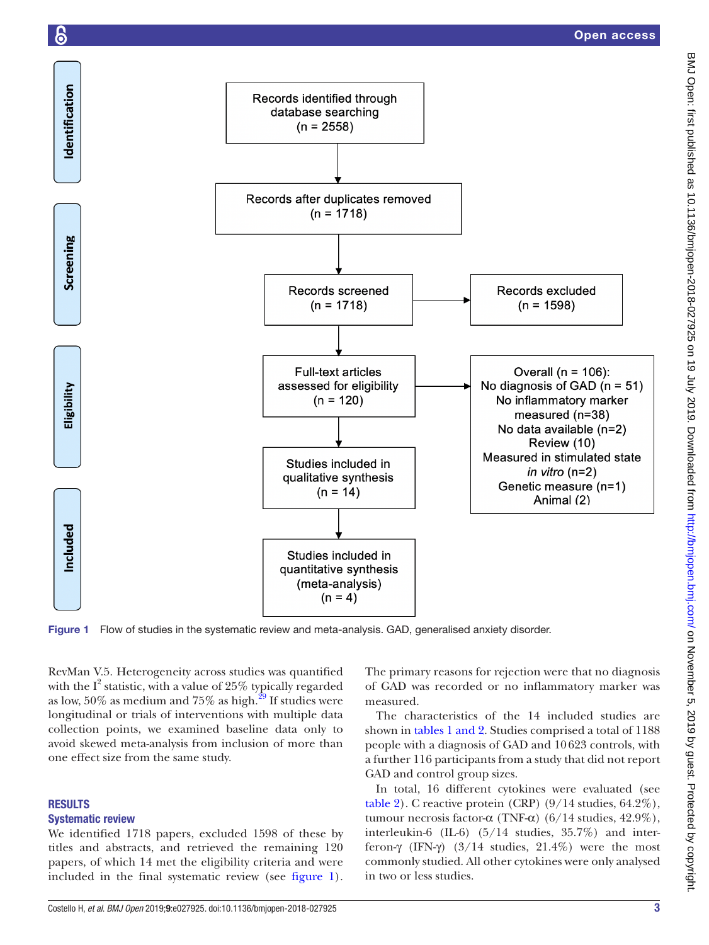

<span id="page-2-0"></span>Figure 1 Flow of studies in the systematic review and meta-analysis. GAD, generalised anxiety disorder.

RevMan V.5. Heterogeneity across studies was quantified with the  $I^2$  statistic, with a value of 25% typically regarded as low, 50% as medium and 75% as high.<sup>29</sup> If studies were longitudinal or trials of interventions with multiple data collection points, we examined baseline data only to avoid skewed meta-analysis from inclusion of more than one effect size from the same study.

# **RESULTS** Systematic review

We identified 1718 papers, excluded 1598 of these by titles and abstracts, and retrieved the remaining 120 papers, of which 14 met the eligibility criteria and were included in the final systematic review (see [figure](#page-2-0) 1).

The primary reasons for rejection were that no diagnosis of GAD was recorded or no inflammatory marker was measured.

The characteristics of the 14 included studies are shown in tables [1 and 2.](#page-3-0) Studies comprised a total of 1188 people with a diagnosis of GAD and 10623 controls, with a further 116 participants from a study that did not report GAD and control group sizes.

In total, 16 different cytokines were evaluated (see [table](#page-5-0) 2). C reactive protein (CRP) (9/14 studies, 64.2%), tumour necrosis factor-α (TNF-α) (6/14 studies, 42.9%), interleukin-6 (IL-6) (5/14 studies, 35.7%) and interferon-γ (IFN-γ) (3/14 studies, 21.4%) were the most commonly studied. All other cytokines were only analysed in two or less studies.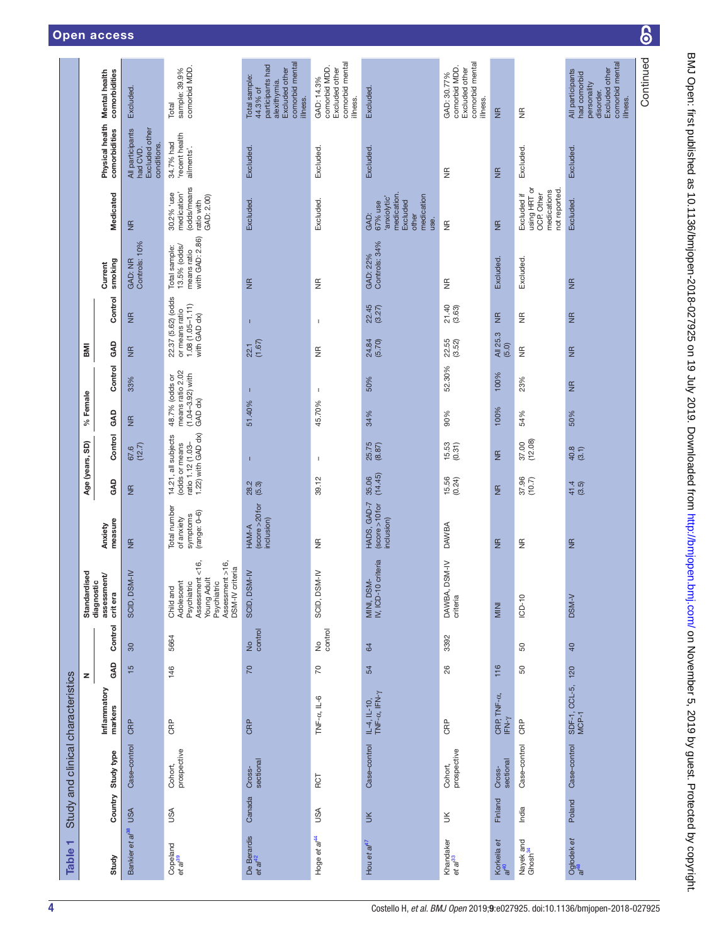<span id="page-3-0"></span>

| Table 1                            |           |                        | Study and clinical characteristics            |                 |                                 |                                                                                                                               |                                                          |                                                                                  |                   |                                                                     |               |                                                                             |                                 |                                                                 |                                                                                           |                                                               |                                                                                                                |
|------------------------------------|-----------|------------------------|-----------------------------------------------|-----------------|---------------------------------|-------------------------------------------------------------------------------------------------------------------------------|----------------------------------------------------------|----------------------------------------------------------------------------------|-------------------|---------------------------------------------------------------------|---------------|-----------------------------------------------------------------------------|---------------------------------|-----------------------------------------------------------------|-------------------------------------------------------------------------------------------|---------------------------------------------------------------|----------------------------------------------------------------------------------------------------------------|
|                                    |           |                        |                                               | z               |                                 | Standardised                                                                                                                  |                                                          | Age (years, SD)                                                                  |                   | % Female                                                            |               | <b>IMB</b>                                                                  |                                 |                                                                 |                                                                                           |                                                               |                                                                                                                |
| Study                              |           | Country Study type     | Inflammatory<br>markers                       | GAD             | Control                         | assessment/<br>diagnostic<br>crit era                                                                                         | measure<br>Anxiety                                       | GAD                                                                              | Control           | GAD                                                                 | Control       | GAD                                                                         | Control                         | smoking<br>Current                                              | Medicated                                                                                 | Physical health<br>comorbidities                              | comorbidities<br><b>Mental health</b>                                                                          |
| Bankier et al <sup>38</sup> USA    |           | Case-control           | CRP                                           | $\frac{5}{1}$   | 30                              | SCID, DSM-IV                                                                                                                  | $rac{\pi}{2}$                                            | $rac{\pi}{2}$                                                                    | 67.6<br>(12.7)    | $rac{\pi}{2}$                                                       | 33%           | $rac{\pi}{2}$                                                               | $\frac{R}{Z}$                   | GAD: NR<br>Controls: 10%                                        | $rac{\pi}{2}$                                                                             | All participants<br>had CVD.<br>Excluded other<br>conditions. | Excluded.                                                                                                      |
| Copeland<br>et al <sup>39</sup>    | USA       | prospective<br>Cohort, | CRP                                           | 146             | 5664                            | Psychiatric<br>Assessment <16,<br>Assessment >16,<br>DSM-IV criteria<br>Young Adult<br>Adolescent<br>Psychiatric<br>Child and | Total number<br>$(range: 0-6)$<br>symptoms<br>of anxiety | (odds or means<br>ratio 1.12 (1.03-<br>1.22) with GAD dx)<br>14.21, all subjects |                   | means ratio 2.02<br>$(1.04-3.92)$ with<br>GAD dx)<br>48.7% (odds or |               | 22.37 (5.62) (odds<br>$1.08(1.05 - 1.11)$<br>or means ratio<br>with GAD dx) |                                 | with GAD: 2.86)<br>13.5% (odds/<br>Total sample:<br>means ratio | (odds/means<br>medication'<br>su' %2.08<br>ratio with<br>GAD: 2.00)                       | trecent health<br>34.7% had<br>ailments'.                     | sample: 39.9%<br>comorbid MDD.<br>Total                                                                        |
| De Berardis<br>et al <sup>42</sup> | Canada    | sectional<br>Cross-    | CRP                                           | $\overline{70}$ | No<br>control                   | SCID, DSM-IV                                                                                                                  | $\frac{1}{2}$ (score >20 for<br>inclusion)<br>HAM-A      | 28.2<br>(5.3)                                                                    | Ţ                 | 51.40%                                                              | Ţ             | (1.67)<br>22.1                                                              | T.                              | $\frac{1}{2}$                                                   | Excluded.                                                                                 | Excluded.                                                     | comorbid mental<br>participants had<br>Excluded other<br>Total sample:<br>alexithymia.<br>44.3% of<br>illness. |
| Hoge et al <sup>44</sup>           | USA       | RCT                    | $TNF-\alpha$ , IL-6                           | $\overline{70}$ | control<br>$\frac{\circ}{\sim}$ | SCID, DSM-IV                                                                                                                  | $\widetilde{\Xi}$                                        | 39.12                                                                            | $\mathbf{I}$      | 45.70%                                                              | $\mathbf{I}$  | $\frac{\mathbb{E}}{\mathbb{E}}$                                             | $\mathbf{I}$                    | $\frac{\alpha}{2}$                                              | Excluded.                                                                                 | Excluded                                                      | comorbid mental<br>comorbid MDD.<br>Excluded other<br>GAD: 14.3%<br>illness.                                   |
| Hou et al <sup>47</sup>            | š         | Case-control           | IL-4, IL-10,<br>TNF- $\alpha$ , IFN- $\gamma$ | 54              | 64                              | MINI, DSM-<br>IV, ICD-10 criteria                                                                                             | HADS, GAD-7<br>(score >10 for<br>inclusion)              | (14.45)<br>35.06                                                                 | 25.75<br>(8.87)   | 34%                                                                 | 50%           | 24.84                                                                       | 22.45                           | Controls: 34%<br>GAD: 22%                                       | medication.<br>medication<br>'anxiolytic'<br>Excluded<br>67% use<br>GAD:<br>other<br>use. | <b>Excluded</b>                                               | Excluded.                                                                                                      |
| Khandaker<br>et al <sup>33</sup>   | $\preceq$ | Cohort,<br>prospective | CRP                                           | 26              | 3392                            | DAWBA, DSM-IV<br>criteria                                                                                                     | <b>DAWBA</b>                                             | 15.56<br>(0.24)                                                                  | 15.53<br>(0.31)   | 90%                                                                 | 52.30%        | 22.55<br>(3.52)                                                             | 21.40<br>(3.63)                 | $\frac{\alpha}{2}$                                              | $\frac{\pi}{2}$                                                                           | $\frac{\pi}{2}$                                               | comorbid mental<br>comorbid MDD.<br>Excluded other<br>GAD: 30.77%<br>illness.                                  |
| Korkeila et<br>al <sup>40</sup>    | Finland   | sectional<br>Cross-    | CRP, $TNF-\alpha$ ,<br>IFN-Y                  | 116             |                                 | <b>MINI</b>                                                                                                                   | $\frac{1}{2}$                                            | $rac{\pi}{2}$                                                                    | $rac{\pi}{2}$     | 100%                                                                | 100%          | All 25.3<br>(5.0)                                                           | $\mathop{\mathbb{E}}$           | Excluded.                                                       | $\widetilde{\Xi}$                                                                         | $\frac{1}{2}$                                                 | $rac{\pi}{2}$                                                                                                  |
| Nayek and<br>Ghosh <sup>34</sup>   | India     | Case-control           | CRP                                           | SO              | 50                              | ICD-10                                                                                                                        | $\frac{\alpha}{2}$                                       | 37.96<br>(10.7)                                                                  | (12.08)<br>37.00  | 54%                                                                 | 23%           | $\frac{\mathbb{E}}{\mathbb{E}}$                                             | $\frac{\mathbb{E}}{\mathbb{E}}$ | Excluded.                                                       | using HRT or<br>OCP. Other<br>medications<br>not reported<br>Excluded if                  | Excluded.                                                     | $\frac{\alpha}{2}$                                                                                             |
| Ogłodek et<br>al <sup>48</sup>     | Poland    | Case-control           | SDF-1, CCL-5,<br>MCP-1                        | 120             | 40                              | DSM-V                                                                                                                         | $\frac{\mathbb{E}}{\mathbb{E}}$                          | 41.4<br>(3.5)                                                                    | $40.8$<br>$(3.1)$ | 50%                                                                 | $\frac{1}{2}$ | $\frac{1}{2}$                                                               | $\frac{\mathbb{E}}{\mathbb{E}}$ | $\frac{\mathbb{E}}{\mathbb{E}}$                                 | Excluded.                                                                                 | <b>Excluded</b>                                               | comorbid mental<br>illness.<br>All participants<br>had comorbid<br>Excluded other<br>personality<br>disorder.  |
|                                    |           |                        |                                               |                 |                                 |                                                                                                                               |                                                          |                                                                                  |                   |                                                                     |               |                                                                             |                                 |                                                                 |                                                                                           |                                                               | Continued                                                                                                      |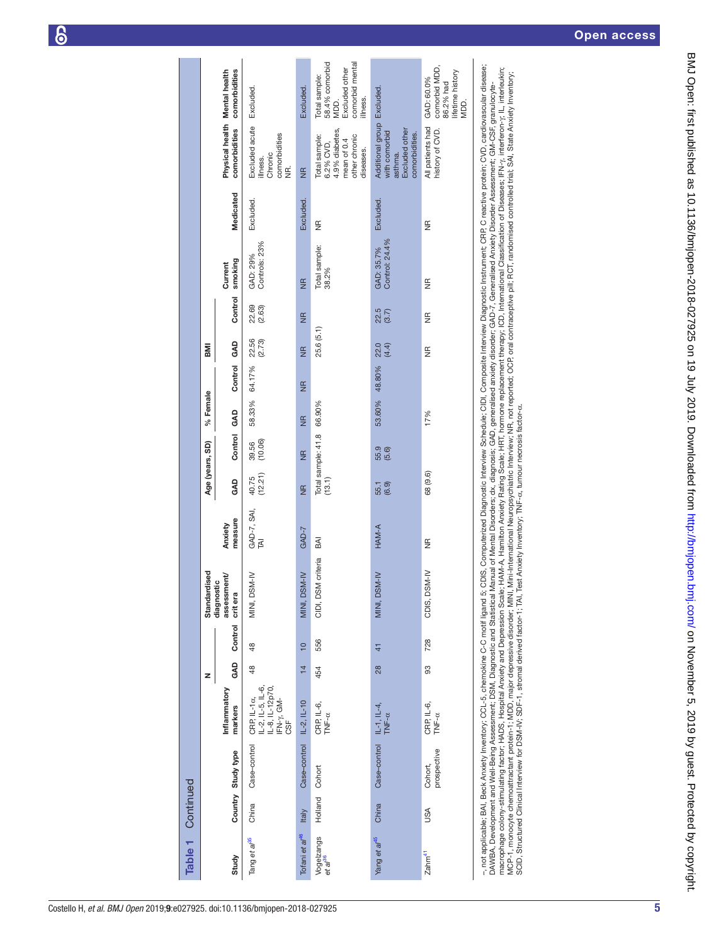|                                   | Table 1 Continued |                        |                                                                                      |                |                 |                                                                                                                                                                                                                                                                                                                                                                                                                                                                                                                                                                                                                                                                                                       |                           |                  |                           |               |               |                    |                    |                              |                    |                                                                                                                                                                                                                                                                                                                            |                                                                                          |
|-----------------------------------|-------------------|------------------------|--------------------------------------------------------------------------------------|----------------|-----------------|-------------------------------------------------------------------------------------------------------------------------------------------------------------------------------------------------------------------------------------------------------------------------------------------------------------------------------------------------------------------------------------------------------------------------------------------------------------------------------------------------------------------------------------------------------------------------------------------------------------------------------------------------------------------------------------------------------|---------------------------|------------------|---------------------------|---------------|---------------|--------------------|--------------------|------------------------------|--------------------|----------------------------------------------------------------------------------------------------------------------------------------------------------------------------------------------------------------------------------------------------------------------------------------------------------------------------|------------------------------------------------------------------------------------------|
|                                   |                   |                        |                                                                                      | z              |                 | Standardised                                                                                                                                                                                                                                                                                                                                                                                                                                                                                                                                                                                                                                                                                          |                           | Age (years, SD)  |                           | % Female      |               | 홂                  |                    |                              |                    |                                                                                                                                                                                                                                                                                                                            |                                                                                          |
|                                   |                   | Country Study type     | Inflammatory<br>markers                                                              | GAD            | Control         | assessment/<br>diagnostic<br>crit era                                                                                                                                                                                                                                                                                                                                                                                                                                                                                                                                                                                                                                                                 | measure<br>Anxiety        | GAD              | Control                   | GAD           | Control       | GAD                | Control            | smoking<br>Current           | Medicated          | Physical health<br>comorbidities                                                                                                                                                                                                                                                                                           | comorbidities<br><b>Mental health</b>                                                    |
| Tang et al <sup>35</sup>          | China             | Case-control           | IL-2, IL-5, IL-6,<br>IL-8, IL-12p70,<br>CRP, IL-1a,<br>IFN-y, GM-<br>CSF             | $\frac{48}{5}$ | 48              | MINI, DSM-IV                                                                                                                                                                                                                                                                                                                                                                                                                                                                                                                                                                                                                                                                                          | GAD-7, SAI,<br><b>IXI</b> | (12.21)<br>40.75 | (10.06)<br>39.56          | 58.33%        | 64.17%        | 22.56<br>(2.73)    | 22.69<br>(2.63)    | Controls: 23%<br>GAD: 29%    | Excluded.          | Excluded acute<br>comorbidities<br>Chronic<br>illness.<br>gi                                                                                                                                                                                                                                                               | Excluded.                                                                                |
| Totani et ar <sup>46</sup>        | <b>Italy</b>      | Case-control           | $IL-2, IL-10$                                                                        | $\frac{1}{4}$  | $\overline{10}$ | MINI, DSM-IV                                                                                                                                                                                                                                                                                                                                                                                                                                                                                                                                                                                                                                                                                          | GAD-7                     | $\frac{1}{2}$    | $\frac{\alpha}{2}$        | $\frac{1}{2}$ | $\frac{1}{2}$ | $\frac{1}{2}$      | $rac{\pi}{2}$      | $\frac{1}{2}$                | Excluded.          | $\frac{1}{2}$                                                                                                                                                                                                                                                                                                              | Excluded.                                                                                |
| Vogelzangs<br>et al <sup>36</sup> |                   | Holland Cohort         | CRP, IL-6,<br>$TNF-\alpha$                                                           | 454            | 556             | CIDI, DSM criteria                                                                                                                                                                                                                                                                                                                                                                                                                                                                                                                                                                                                                                                                                    | BAI                       | (13.1)           | Total sample: 41.8 66.90% |               |               | 25.6 (5.1)         |                    | Total sample:<br>38.2%       | $\frac{\pi}{2}$    | 4.9% diabetes<br>other chronic<br>Total sample:<br>mean of 0.4<br>6.2% CVD,<br>diseases.                                                                                                                                                                                                                                   | 58.4% comorbid<br>comorbid mental<br>Excluded other<br>Total sample:<br>illness.<br>MDD. |
| Yang et al <sup>45</sup>          | China             | Case-control           | $IL-1, IL-4,$<br>$NF-\alpha$                                                         | 28             | $\frac{1}{4}$   | MINI, DSM-IV                                                                                                                                                                                                                                                                                                                                                                                                                                                                                                                                                                                                                                                                                          | HAM-A                     | (6.9)<br>55.1    | 55.9<br>(5.6)             | 53.60%        | 48.80%        | 22.0<br>(4.4)      | 22.5<br>(3.7)      | Control: 24.4%<br>GAD: 35.7% | Excluded.          | Additional group<br>Excluded other<br>with comorbid<br>comorbidities.<br>asthma.                                                                                                                                                                                                                                           | Excluded.                                                                                |
| Zahm <sup>41</sup>                | USA               | prospective<br>Cohort, | CRP, IL-6,<br>TNF-α                                                                  | 93             | 728             | CDIS, DSM-IV                                                                                                                                                                                                                                                                                                                                                                                                                                                                                                                                                                                                                                                                                          | $\frac{\alpha}{2}$        | 68 (9.6)         |                           | 17%           |               | $\frac{\alpha}{2}$ | $\frac{\alpha}{2}$ | $\frac{\alpha}{2}$           | $\frac{\alpha}{2}$ | All patients had<br>history of CVD.                                                                                                                                                                                                                                                                                        | comorbid MDD,<br>ifetime history<br>GAD: 60.0%<br>86.2% had<br>MDD.                      |
|                                   |                   |                        | -, not applicable; BAI, Beck Anxiety Inventory; CCL-5, chemokine C-C motif ligand 5; |                |                 | macrophage colony-stimulating factor; HADS, Hospital Anxiety and Depression Scale; HAM-A, Hamilton Anxiety Rating Scale; HRT, hormone replacement therapy; ICD, International Classification of Diseases; IFN+y, interferon-r,<br>DAWBA, Development and Well-Being Assessment; DSM, Diagnostic and Statistical Manual of Mental Disorders; dx, diagnosis; GAD, generalised anxiety disorder; GAD-7, Generalised Anxiety Disorder Assessment; GM-CSF, granulocyt<br>MCP-1, monocyte chemoattractant protein-1; MDD, major depressive disorder; MINI, Mini-International Neuropsychiatric Interview; NR, not r<br>SCID, Structured Clinical Interview for DSM-IV; SDF-1, stromal derived factor-1; TAI |                           |                  |                           |               |               |                    |                    |                              |                    | CDIS, Computerized Diagnostic Interview Schedule; CIDI, Composite Interview Diagnostic Instrument; CRP, C reactive protein; CVD, cardiovascular disease;<br>Mini-International Neuropsychiatric Interview; NR, not reported; OCP, oral contraceptive pili; RCT, randomised controlled trial; SAI, State Anxiety Inventory; |                                                                                          |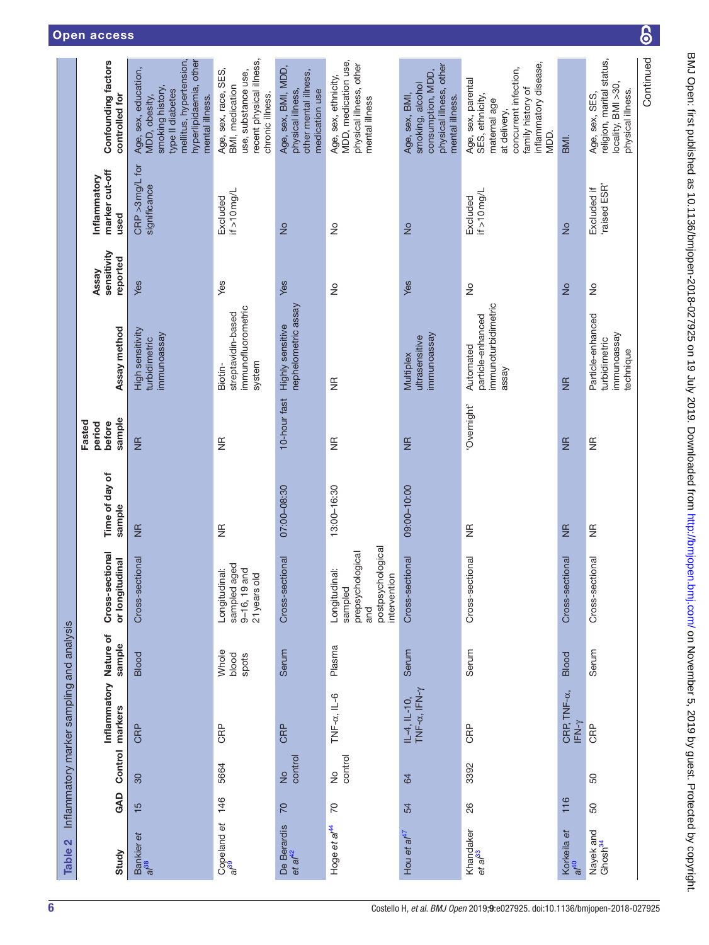<span id="page-5-0"></span>

| Table 2                            |               |                          | Inflammatory marker sampling and analysis       |                         |                                                                                          |                          |                                      |                                                                |                                  |                                        |                                                                                                                                                       |
|------------------------------------|---------------|--------------------------|-------------------------------------------------|-------------------------|------------------------------------------------------------------------------------------|--------------------------|--------------------------------------|----------------------------------------------------------------|----------------------------------|----------------------------------------|-------------------------------------------------------------------------------------------------------------------------------------------------------|
| Study                              | GAD           |                          | Inflammatory<br>Control markers                 | Nature of<br>sample     | Cross-sectional<br>or longitudinal                                                       | Time of day of<br>sample | sample<br>Fasted<br>before<br>period | Assay method                                                   | sensitivity<br>reported<br>Assay | marker cut-off<br>Inflammatory<br>used | Confounding factors<br>controlled for                                                                                                                 |
| Bankier et<br>al <sup>38</sup>     | $\frac{5}{1}$ | 80                       | CRP                                             | <b>Blood</b>            | Cross-sectional                                                                          | $\overline{\Xi}$         | $\frac{\mathsf{p}}{\mathsf{p}}$      | High sensitivity<br>immunoassay<br>turbidimetric               | Yes                              | CRP >3mg/L for<br>significance         | mellitus, hypertension,<br>hyperlipidaemia, other<br>Age, sex, education,<br>smoking history,<br>type II diabetes<br>MDD, obesity,<br>mental illness. |
| Copeland et<br>a/ <sup>39</sup>    | 146           | 5664                     | CRP                                             | Whole<br>blood<br>spots | sampled aged<br>Longitudinal:<br>9-16, 19 and<br>21 years old                            | $\frac{1}{2}$            | $\frac{1}{2}$                        | immunofluorometric<br>streptavidin-based<br>system<br>Biotin-  | Yes                              | $if > 10$ mg/L<br>Excluded             | recent physical illness,<br>Age, sex, race, SES,<br>use, substance use,<br>BMI, medication<br>chronic illness.                                        |
| De Berardis<br>et al <sup>42</sup> | 70            | control<br>$\frac{1}{2}$ | CRP                                             | Serum                   | Cross-sectional                                                                          | 07:00-08:30              | 10-hour fast                         | nephelometric assay<br>Highly sensitive                        | Yes                              | $\frac{1}{2}$                          | Age, sex, BMI, MDD,<br>other mental illness,<br>medication use<br>physical illness,                                                                   |
| Hoge et al <sup>44</sup>           | 70            | control<br>$\frac{1}{2}$ | $TNF-\alpha$ , IL-6                             | Plasma                  | postpsychological<br>prepsychological<br>Longitudinal:<br>intervention<br>sampled<br>and | 13:00-16:30              | $\frac{1}{2}$                        | $\frac{\pi}{2}$                                                | ş                                | ş                                      | MDD, medication use,<br>physical illness, other<br>Age, sex, ethnicity,<br>mental illness                                                             |
| Hou et al <sup>47</sup>            | 54            | 64                       | TNF- $\alpha$ , IFN- $\gamma$<br>$IL-4, IL-10,$ | Serum                   | Cross-sectional                                                                          | 09:00-10:00              | $rac{\pi}{2}$                        | immunoassay<br>ultrasensitive<br>Multiplex                     | Yes                              | $\frac{1}{2}$                          | physical illness, other<br>consumption, MDD,<br>smoking, alcohol<br>Age, sex, BMI,<br>mental illness.                                                 |
| Khandaker<br>et al <sup>33</sup>   | 26            | 3392                     | CRP                                             | Serum                   | Cross-sectional                                                                          | $\frac{\pi}{2}$          | 'Overnight'                          | immunoturbidimetric<br>particle-enhanced<br>Automated<br>assay | $\frac{1}{2}$                    | if >10mg/L<br>Excluded                 | inflammatory disease,<br>concurrent infection,<br>Age, sex, parental<br>family history of<br>SES, ethnicity,<br>maternal age<br>at delivery,<br>MDD.  |
| Korkeila et<br>al <sup>40</sup>    | 116           |                          | CRP, TNF-a,<br>IFN- $\gamma$                    | Blood                   | Cross-sectional                                                                          | $\sqrt{2}$               | $rac{\pi}{2}$                        | $rac{1}{2}$                                                    | $\frac{1}{2}$                    | $\frac{1}{2}$                          | BMI.                                                                                                                                                  |
| Nayek and<br>Ghosh <sup>34</sup>   | 50            | 50                       | <b>GRP</b>                                      | Serum                   | Cross-sectional                                                                          | $\frac{\alpha}{2}$       | $\frac{1}{2}$                        | Particle-enhanced<br>immunoassay<br>turbidimetric<br>technique | $\frac{1}{2}$                    | 'raised ESR'<br>Excluded if            | religion, marital status,<br>locality, BMI >30,<br>physical illness.<br>Age, sex, SES,                                                                |
|                                    |               |                          |                                                 |                         |                                                                                          |                          |                                      |                                                                |                                  |                                        | Continued                                                                                                                                             |

 $\overline{\mathbf{6}}$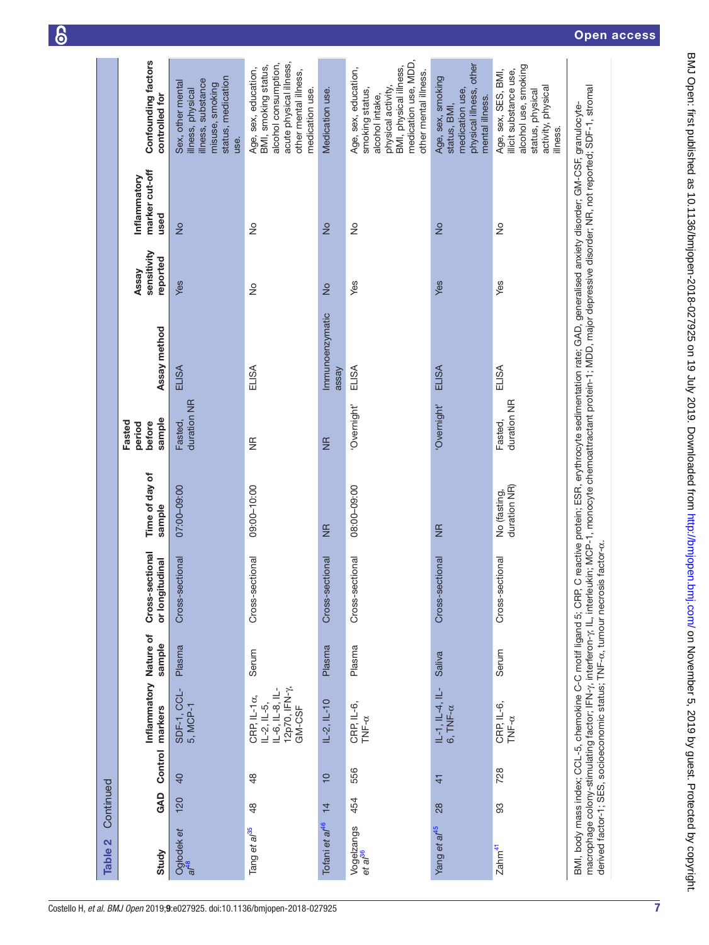| $\mathbf{a}$<br><b>Table</b>           | Continued     |                |                                                                                              |        |                                                                               |                              |                                      |                                                                                                                                                                                                                                                                                                             |                                  |                                        |                                                                                                                                                             |
|----------------------------------------|---------------|----------------|----------------------------------------------------------------------------------------------|--------|-------------------------------------------------------------------------------|------------------------------|--------------------------------------|-------------------------------------------------------------------------------------------------------------------------------------------------------------------------------------------------------------------------------------------------------------------------------------------------------------|----------------------------------|----------------------------------------|-------------------------------------------------------------------------------------------------------------------------------------------------------------|
| Study                                  | GAD           |                | Inflammatory Nature of<br>Control markers                                                    | sample | Cross-sectional<br>or longitudinal                                            | Time of day of<br>sample     | sample<br>Fasted<br>before<br>period | Assay method                                                                                                                                                                                                                                                                                                | sensitivity<br>reported<br>Assay | marker cut-off<br>Inflammatory<br>used | Confounding factors<br>controlled for                                                                                                                       |
| Ogłodek et<br>al <sup>48</sup>         | 120           | $\overline{a}$ | SDF-1, CCL-<br>5, MCP-1                                                                      | Plasma | Cross-sectional                                                               | 07:00-09:00                  | duration NR<br>Fasted,               | ELISA                                                                                                                                                                                                                                                                                                       | Yes                              | $\frac{1}{2}$                          | status, medication<br>illness, substance<br>Sex, other mental<br>misuse, smoking<br>illness, physical<br>use.                                               |
| Tang et al <sup>35</sup>               | 48            | 48             | 12p70, IFN-y,<br>$L-6$ , $L-8$ , $L-$<br>CRP, IL-1 $\alpha$ ,<br>$L-2$ , $L-5$ ,<br>$GM-CSF$ | Serum  | Cross-sectional                                                               | 09:00-10:00                  | $\frac{1}{2}$                        | ELISA                                                                                                                                                                                                                                                                                                       | $\frac{1}{2}$                    | $\frac{1}{2}$                          | acute physical illness,<br>alcohol consumption,<br>BMI, smoking status,<br>Age, sex, education,<br>other mental illness,<br>medication use.                 |
| Tofani et al <sup>46</sup>             | $\frac{1}{4}$ | $\overline{C}$ | IL-2, IL-10                                                                                  | Plasma | Cross-sectional                                                               | $\frac{1}{2}$                | $\frac{1}{2}$                        | Immunoenzymatic<br>assay                                                                                                                                                                                                                                                                                    | $\frac{1}{2}$                    | $\frac{1}{2}$                          | Medication use.                                                                                                                                             |
| Vogelzangs<br>$et$ a $/$ <sup>36</sup> | 454           | 556            | CRP, IL-6,<br>TNF- $\alpha$                                                                  | Plasma | Cross-sectional                                                               | 08:00-09:00                  | 'Overnight'                          | ELISA                                                                                                                                                                                                                                                                                                       | Yes                              | $\frac{1}{2}$                          | medication use, MDD,<br>BMI, physical illness,<br>Age, sex, education,<br>other mental illness.<br>physical activity,<br>smoking status,<br>alcohol intake, |
| Yang et al <sup>45</sup>               | 28            | $\frac{4}{3}$  | IL-1, IL-4, IL-<br>6, $TNF-\alpha$                                                           | Saliva | Cross-sectional                                                               | $\frac{\alpha}{2}$           | 'Overnight'                          | ELISA                                                                                                                                                                                                                                                                                                       | Yes                              | $\frac{1}{2}$                          | physical illness, other<br>Age, sex, smoking<br>medication use,<br>mental illness.<br>status, BMI,                                                          |
| Zahm <sup>41</sup>                     | 93            | 728            | CRP, IL-6,<br>TNF-a                                                                          | Serum  | Cross-sectional                                                               | duration NR)<br>No (fasting, | duration NR<br>Fasted,               | ELISA                                                                                                                                                                                                                                                                                                       | Yes                              | $\frac{1}{2}$                          | alcohol use, smoking<br>Age, sex, SES, BMI,<br>illicit substance use,<br>activity, physical<br>status, physical<br>illness.                                 |
|                                        |               |                | BMI, body mass index; CCL-5, chemokine C-C motif ligand 5; CRP,                              |        | derived factor-1; SES, socioeconomic status; TNF-a, tumour necrosis factor-a. |                              |                                      | macrophage colony-stimulating factor; IFN-y, interferon-y, IL, interleukin; MCP-1, monocyte chemoattractant protein-1; MDD, major depressive disorder; NR, not reported; SDF-1, stromal<br>C reactive protein; ESR, erythrocyte sedimentation rate; GAD, generalised anxiety disorder; GM-CSF, granulocyte- |                                  |                                        |                                                                                                                                                             |

 $\delta$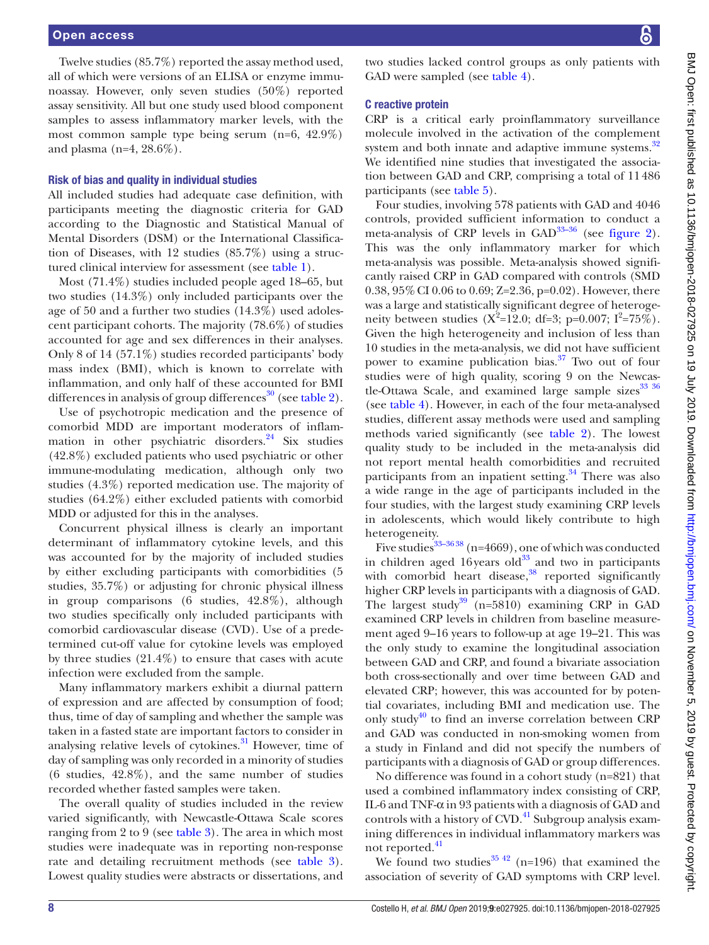two studies lacked control groups as only patients with GAD were sampled (see [table](#page-10-0) 4). C reactive protein

CRP is a critical early proinflammatory surveillance molecule involved in the activation of the complement system and both innate and adaptive immune systems.<sup>[32](#page-15-21)</sup> We identified nine studies that investigated the association between GAD and CRP, comprising a total of 11486 participants (see [table](#page-11-0) 5).

Four studies, involving 578 patients with GAD and 4046 controls, provided sufficient information to conduct a meta-analysis of CRP levels in GAD<sup>33-36</sup> (see [figure](#page-11-1) 2). This was the only inflammatory marker for which meta-analysis was possible. Meta-analysis showed significantly raised CRP in GAD compared with controls (SMD 0.38, 95%CI 0.06 to 0.69; Z=2.36, p=0.02). However, there was a large and statistically significant degree of heterogeneity between studies  $(X^2=12.0; df=3; p=0.007; I^2=75\%).$ Given the high heterogeneity and inclusion of less than 10 studies in the meta-analysis, we did not have sufficient power to examine publication bias. $37$  Two out of four studies were of high quality, scoring 9 on the Newcas-tle-Ottawa Scale, and examined large sample sizes<sup>[33 36](#page-15-10)</sup> (see [table](#page-10-0) 4). However, in each of the four meta-analysed studies, different assay methods were used and sampling methods varied significantly (see [table](#page-5-0) 2). The lowest quality study to be included in the meta-analysis did not report mental health comorbidities and recruited participants from an inpatient setting. $34$  There was also a wide range in the age of participants included in the four studies, with the largest study examining CRP levels in adolescents, which would likely contribute to high heterogeneity.

Five studies $33-3638$  (n=4669), one of which was conducted in children aged  $16$  years old<sup>[33](#page-15-10)</sup> and two in participants with comorbid heart disease, $38$  reported significantly higher CRP levels in participants with a diagnosis of GAD. The largest study<sup>39</sup> (n=5810) examining CRP in GAD examined CRP levels in children from baseline measurement aged 9–16 years to follow-up at age 19–21. This was the only study to examine the longitudinal association between GAD and CRP, and found a bivariate association both cross-sectionally and over time between GAD and elevated CRP; however, this was accounted for by potential covariates, including BMI and medication use. The only study<sup>[40](#page-15-11)</sup> to find an inverse correlation between CRP and GAD was conducted in non-smoking women from a study in Finland and did not specify the numbers of participants with a diagnosis of GAD or group differences.

No difference was found in a cohort study (n=821) that used a combined inflammatory index consisting of CRP, IL-6 and TNF- $\alpha$  in 93 patients with a diagnosis of GAD and controls with a history of CVD. $41$  Subgroup analysis examining differences in individual inflammatory markers was not reported.<sup>41</sup>

We found two studies  $3542$  (n=196) that examined the association of severity of GAD symptoms with CRP level.

Twelve studies (85.7%) reported the assay method used, all of which were versions of an ELISA or enzyme immunoassay. However, only seven studies (50%) reported assay sensitivity. All but one study used blood component samples to assess inflammatory marker levels, with the most common sample type being serum (n=6, 42.9%) and plasma (n=4, 28.6%).

#### Risk of bias and quality in individual studies

All included studies had adequate case definition, with participants meeting the diagnostic criteria for GAD according to the Diagnostic and Statistical Manual of Mental Disorders (DSM) or the International Classification of Diseases, with 12 studies (85.7%) using a structured clinical interview for assessment (see [table](#page-3-0) 1).

Most (71.4%) studies included people aged 18–65, but two studies (14.3%) only included participants over the age of 50 and a further two studies (14.3%) used adolescent participant cohorts. The majority (78.6%) of studies accounted for age and sex differences in their analyses. Only 8 of 14 (57.1%) studies recorded participants' body mass index (BMI), which is known to correlate with inflammation, and only half of these accounted for BMI differences in analysis of group differences<sup>30</sup> (see [table](#page-5-0) 2).

Use of psychotropic medication and the presence of comorbid MDD are important moderators of inflam-mation in other psychiatric disorders.<sup>[24](#page-14-19)</sup> Six studies (42.8%) excluded patients who used psychiatric or other immune-modulating medication, although only two studies (4.3%) reported medication use. The majority of studies (64.2%) either excluded patients with comorbid MDD or adjusted for this in the analyses.

Concurrent physical illness is clearly an important determinant of inflammatory cytokine levels, and this was accounted for by the majority of included studies by either excluding participants with comorbidities (5 studies, 35.7%) or adjusting for chronic physical illness in group comparisons (6 studies, 42.8%), although two studies specifically only included participants with comorbid cardiovascular disease (CVD). Use of a predetermined cut-off value for cytokine levels was employed by three studies (21.4%) to ensure that cases with acute infection were excluded from the sample.

Many inflammatory markers exhibit a diurnal pattern of expression and are affected by consumption of food; thus, time of day of sampling and whether the sample was taken in a fasted state are important factors to consider in analysing relative levels of cytokines. $31$  However, time of day of sampling was only recorded in a minority of studies (6 studies, 42.8%), and the same number of studies recorded whether fasted samples were taken.

The overall quality of studies included in the review varied significantly, with Newcastle-Ottawa Scale scores ranging from 2 to 9 (see [table](#page-8-0) 3). The area in which most studies were inadequate was in reporting non-response rate and detailing recruitment methods (see [table](#page-8-0) 3). Lowest quality studies were abstracts or dissertations, and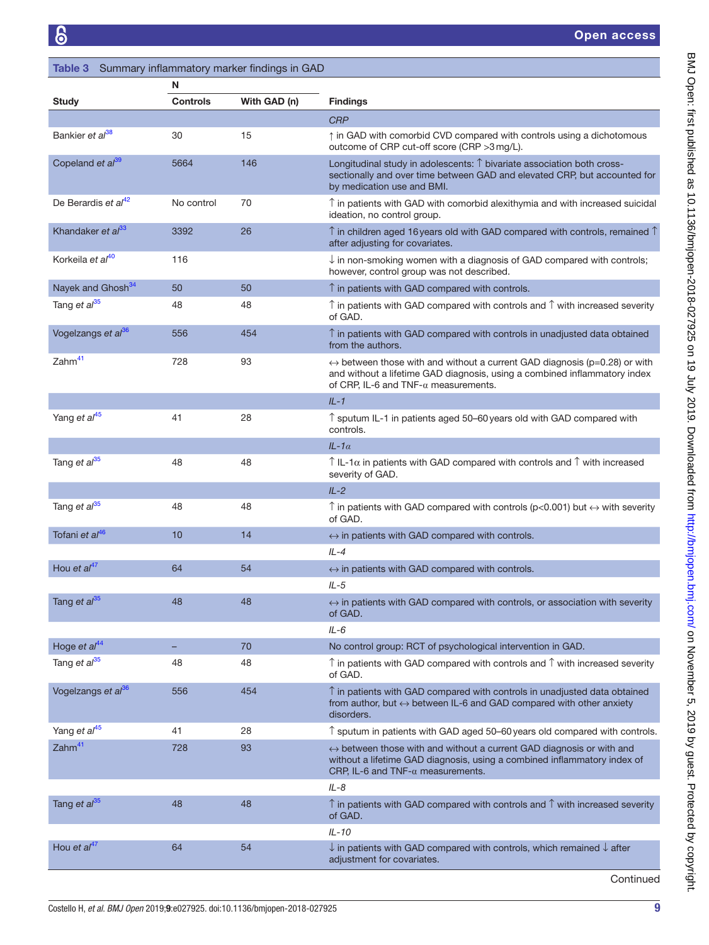<span id="page-8-0"></span>

| Table 3 Summary inflammatory marker findings in GAD |                 |              |                                                                                                                                                                                                                        |
|-----------------------------------------------------|-----------------|--------------|------------------------------------------------------------------------------------------------------------------------------------------------------------------------------------------------------------------------|
|                                                     | N               |              |                                                                                                                                                                                                                        |
| <b>Study</b>                                        | <b>Controls</b> | With GAD (n) | <b>Findings</b>                                                                                                                                                                                                        |
|                                                     |                 |              | <b>CRP</b>                                                                                                                                                                                                             |
| Bankier et al <sup>38</sup>                         | 30              | 15           | ↑ in GAD with comorbid CVD compared with controls using a dichotomous<br>outcome of CRP cut-off score (CRP >3mq/L).                                                                                                    |
| Copeland et al <sup>39</sup>                        | 5664            | 146          | Longitudinal study in adolescents: $\uparrow$ bivariate association both cross-<br>sectionally and over time between GAD and elevated CRP, but accounted for<br>by medication use and BMI.                             |
| De Berardis et $a^{42}$                             | No control      | 70           | $\uparrow$ in patients with GAD with comorbid alexithymia and with increased suicidal<br>ideation, no control group.                                                                                                   |
| Khandaker et $a^{33}$                               | 3392            | 26           | $\hat{\Gamma}$ in children aged 16 years old with GAD compared with controls, remained $\hat{\Gamma}$<br>after adjusting for covariates.                                                                               |
| Korkeila et al <sup>40</sup>                        | 116             |              | $\downarrow$ in non-smoking women with a diagnosis of GAD compared with controls;<br>however, control group was not described.                                                                                         |
| Nayek and Ghosh <sup>34</sup>                       | 50              | 50           | $\uparrow$ in patients with GAD compared with controls.                                                                                                                                                                |
| Tang et al <sup>35</sup>                            | 48              | 48           | $\uparrow$ in patients with GAD compared with controls and $\uparrow$ with increased severity<br>of GAD.                                                                                                               |
| Vogelzangs et al <sup>36</sup>                      | 556             | 454          | ↑ in patients with GAD compared with controls in unadjusted data obtained<br>from the authors.                                                                                                                         |
| Zahm <sup>41</sup>                                  | 728             | 93           | $\leftrightarrow$ between those with and without a current GAD diagnosis (p=0.28) or with<br>and without a lifetime GAD diagnosis, using a combined inflammatory index<br>of CRP, IL-6 and TNF- $\alpha$ measurements. |
|                                                     |                 |              | $IL - 1$                                                                                                                                                                                                               |
| Yang et al <sup>45</sup>                            | 41              | 28           | $\hat{\Gamma}$ sputum IL-1 in patients aged 50–60 years old with GAD compared with<br>controls.                                                                                                                        |
|                                                     |                 |              | $IL-1\alpha$                                                                                                                                                                                                           |
| Tang et al <sup>35</sup>                            | 48              | 48           | $\uparrow$ IL-1 $\alpha$ in patients with GAD compared with controls and $\uparrow$ with increased<br>severity of GAD.                                                                                                 |
|                                                     |                 |              | $IL-2$                                                                                                                                                                                                                 |
| Tang et al <sup>35</sup>                            | 48              | 48           | $\hat{\uparrow}$ in patients with GAD compared with controls (p<0.001) but $\leftrightarrow$ with severity<br>of GAD.                                                                                                  |
| Tofani et al <sup>46</sup>                          | 10              | 14           | $\leftrightarrow$ in patients with GAD compared with controls.                                                                                                                                                         |
|                                                     |                 |              | $IL-4$                                                                                                                                                                                                                 |
| Hou et $al47$                                       | 64              | 54           | $\leftrightarrow$ in patients with GAD compared with controls.                                                                                                                                                         |
|                                                     |                 |              | $IL-5$                                                                                                                                                                                                                 |
| Tang et al <sup>35</sup>                            | 48              | 48           | $\leftrightarrow$ in patients with GAD compared with controls, or association with severity<br>of GAD.                                                                                                                 |
|                                                     |                 |              | $IL-6$                                                                                                                                                                                                                 |
| Hoge et al <sup>44</sup>                            |                 | 70           | No control group: RCT of psychological intervention in GAD.                                                                                                                                                            |
| Tang et al <sup>35</sup>                            | 48              | 48           | $\uparrow$ in patients with GAD compared with controls and $\uparrow$ with increased severity<br>of GAD.                                                                                                               |
| Vogelzangs et al <sup>36</sup>                      | 556             | 454          | $\uparrow$ in patients with GAD compared with controls in unadjusted data obtained<br>from author, but $\leftrightarrow$ between IL-6 and GAD compared with other anxiety<br>disorders.                                |
| Yang et al <sup>45</sup>                            | 41              | 28           | $\uparrow$ sputum in patients with GAD aged 50–60 years old compared with controls.                                                                                                                                    |
| Zahm <sup>41</sup>                                  | 728             | 93           | $\leftrightarrow$ between those with and without a current GAD diagnosis or with and<br>without a lifetime GAD diagnosis, using a combined inflammatory index of<br>CRP, IL-6 and TNF- $\alpha$ measurements.          |
|                                                     |                 |              | $IL-8$                                                                                                                                                                                                                 |
| Tang et al <sup>35</sup>                            | 48              | 48           | $\uparrow$ in patients with GAD compared with controls and $\uparrow$ with increased severity<br>of GAD.                                                                                                               |
|                                                     |                 |              | $IL-10$                                                                                                                                                                                                                |
| Hou et $al^{47}$                                    | 64              | 54           | $\downarrow$ in patients with GAD compared with controls, which remained $\downarrow$ after<br>adjustment for covariates.                                                                                              |
|                                                     |                 |              | Continued                                                                                                                                                                                                              |

BMJ Open: first published as 10.1136/bmjopen-2018-027925 on 19 July 2019. Downloaded from http://bmjopen.bmj.com/ on November 5, 2019 by guest. Protected by copyright. BMJ Open: first published as 10.1136/bmjopen-2018-027925 on 19 July 2019. Downloaded from <http://bmjopen.bmj.com/> on November 5, 2019 og asst. Protected by copyright.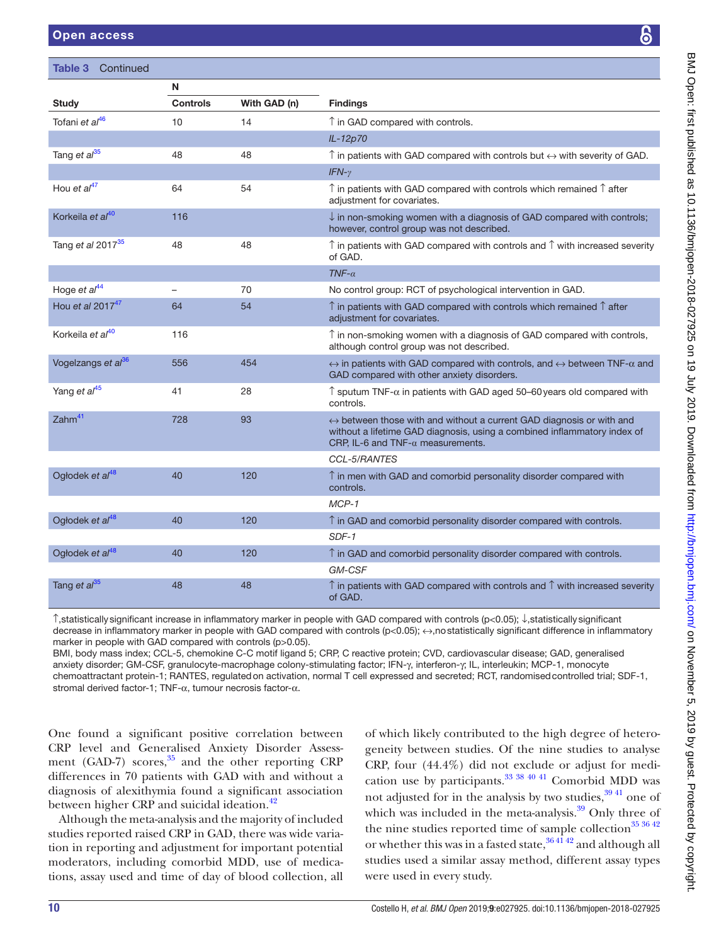Table 3 Continued

|                                | N               |              |                                                                                                                                                                                               |
|--------------------------------|-----------------|--------------|-----------------------------------------------------------------------------------------------------------------------------------------------------------------------------------------------|
| <b>Study</b>                   | <b>Controls</b> | With GAD (n) | <b>Findings</b>                                                                                                                                                                               |
| Tofani et al <sup>46</sup>     | 10              | 14           | ↑ in GAD compared with controls.                                                                                                                                                              |
|                                |                 |              | $IL-12p70$                                                                                                                                                                                    |
| Tang et $al^{35}$              | 48              | 48           | $\uparrow$ in patients with GAD compared with controls but $\leftrightarrow$ with severity of GAD.                                                                                            |
|                                |                 |              | $IFN-\gamma$                                                                                                                                                                                  |
| Hou et $al^{47}$               | 64              | 54           | $\uparrow$ in patients with GAD compared with controls which remained $\uparrow$ after<br>adjustment for covariates.                                                                          |
| Korkeila et al <sup>40</sup>   | 116             |              | $\downarrow$ in non-smoking women with a diagnosis of GAD compared with controls;<br>however, control group was not described.                                                                |
| Tang et al 2017 <sup>35</sup>  | 48              | 48           | $\uparrow$ in patients with GAD compared with controls and $\uparrow$ with increased severity<br>of GAD.                                                                                      |
|                                |                 |              | $TNF-\alpha$                                                                                                                                                                                  |
| Hoge et al <sup>44</sup>       | $\equiv$        | 70           | No control group: RCT of psychological intervention in GAD.                                                                                                                                   |
| Hou et al 201747               | 64              | 54           | $\uparrow$ in patients with GAD compared with controls which remained $\uparrow$ after<br>adjustment for covariates.                                                                          |
| Korkeila et al <sup>40</sup>   | 116             |              | $\uparrow$ in non-smoking women with a diagnosis of GAD compared with controls,<br>although control group was not described.                                                                  |
| Vogelzangs et al <sup>36</sup> | 556             | 454          | $\leftrightarrow$ in patients with GAD compared with controls, and $\leftrightarrow$ between TNF- $\alpha$ and<br>GAD compared with other anxiety disorders.                                  |
| Yang et al <sup>45</sup>       | 41              | 28           | $\uparrow$ sputum TNF- $\alpha$ in patients with GAD aged 50–60 years old compared with<br>controls.                                                                                          |
| Zahm <sup>41</sup>             | 728             | 93           | ↔ between those with and without a current GAD diagnosis or with and<br>without a lifetime GAD diagnosis, using a combined inflammatory index of<br>CRP, IL-6 and TNF- $\alpha$ measurements. |
|                                |                 |              | CCL-5/RANTES                                                                                                                                                                                  |
| Ogłodek et al <sup>48</sup>    | 40              | 120          | $\uparrow$ in men with GAD and comorbid personality disorder compared with<br>controls.                                                                                                       |
|                                |                 |              | $MCP-1$                                                                                                                                                                                       |
| Ogłodek et al <sup>48</sup>    | 40              | 120          | $\uparrow$ in GAD and comorbid personality disorder compared with controls.                                                                                                                   |
|                                |                 |              | SDF-1                                                                                                                                                                                         |
| Ogłodek et $a^{48}$            | 40              | 120          | ↑ in GAD and comorbid personality disorder compared with controls.                                                                                                                            |
|                                |                 |              | GM-CSF                                                                                                                                                                                        |
| Tang et al <sup>35</sup>       | 48              | 48           | $\uparrow$ in patients with GAD compared with controls and $\uparrow$ with increased severity<br>of GAD.                                                                                      |

decrease in inflammatory marker in people with GAD compared with controls (p<0.05); ↔,nostatistically significant difference in inflammatory marker in people with GAD compared with controls (p>0.05).

BMI, body mass index; CCL-5, chemokine C-C motif ligand 5; CRP, C reactive protein; CVD, cardiovascular disease; GAD, generalised anxiety disorder; GM-CSF, granulocyte-macrophage colony-stimulating factor; IFN-γ, interferon-γ; IL, interleukin; MCP-1, monocyte chemoattractant protein-1; RANTES, regulatedon activation, normal T cell expressed and secreted; RCT, randomisedcontrolled trial; SDF-1, stromal derived factor-1; TNF-α, tumour necrosis factor-α.

One found a significant positive correlation between CRP level and Generalised Anxiety Disorder Assessment (GAD-7) scores, $35$  and the other reporting CRP differences in 70 patients with GAD with and without a diagnosis of alexithymia found a significant association between higher CRP and suicidal ideation.<sup>42</sup>

Although the meta-analysis and the majority of included studies reported raised CRP in GAD, there was wide variation in reporting and adjustment for important potential moderators, including comorbid MDD, use of medications, assay used and time of day of blood collection, all

of which likely contributed to the high degree of heterogeneity between studies. Of the nine studies to analyse CRP, four (44.4%) did not exclude or adjust for medication use by participants.<sup>33</sup> 38 <sup>40 41</sup> Comorbid MDD was not adjusted for in the analysis by two studies, $39\frac{41}{1}$  one of which was included in the meta-analysis. $39$  Only three of the nine studies reported time of sample collection<sup>35</sup>  $3642$ or whether this was in a fasted state,  $36\frac{41}{42}$  and although all studies used a similar assay method, different assay types were used in every study.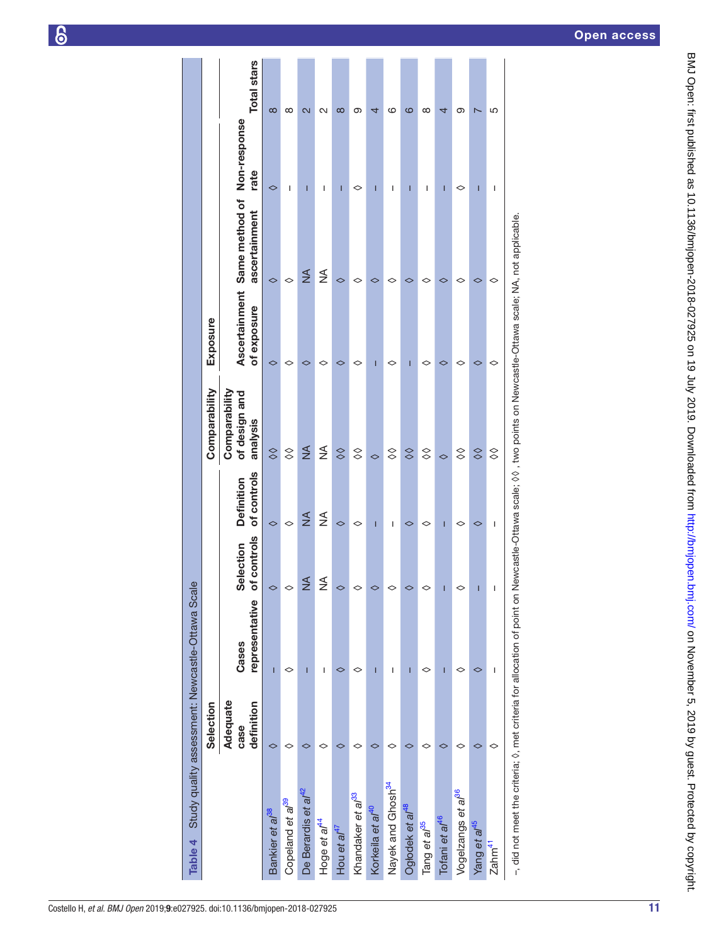<span id="page-10-0"></span>

|                                                                                    | Selection                      |                         |                          |                                  | Comparability                                                                            | Exposure    |                                               |                      |                         |
|------------------------------------------------------------------------------------|--------------------------------|-------------------------|--------------------------|----------------------------------|------------------------------------------------------------------------------------------|-------------|-----------------------------------------------|----------------------|-------------------------|
|                                                                                    | Adequate<br>definition<br>case | representative<br>Cases | of controls<br>Selection | of controls<br><b>Definition</b> | Comparability<br>of design and<br>analysis                                               | of exposure | Ascertainment Same method of<br>ascertainment | Non-response<br>rate | <b>Total stars</b>      |
| Bankier et al <sup>38</sup>                                                        | ◇                              | T                       | ◇                        | ◇                                | $\Diamond$                                                                               | ◇           | ◇                                             | ◇                    | $\infty$                |
| Copeland et al <sup>39</sup>                                                       | ◇                              | ◇                       | ◇                        | $\Diamond$                       | $\begin{array}{c} \diamond \\ \diamond \end{array}$                                      | ◇           | ◇                                             | I                    | $\infty$                |
| De Berardis et al <sup>42</sup>                                                    | ◇                              | I                       | ≸                        | $\frac{1}{2}$                    | $\frac{4}{2}$                                                                            |             | ≸                                             | Π                    | $\overline{\mathsf{c}}$ |
| Hoge et al <sup>44</sup>                                                           | ◇                              | I                       | ≸                        | ⋚                                | ⋚                                                                                        | ◇           | ⋚                                             | I                    | N                       |
| Hou et $al^{47}$                                                                   | ◇                              | ◇                       | ◇                        | ◇                                | $\Diamond$                                                                               |             | ◇                                             | Π                    | $\infty$                |
| Khandaker et al <sup>33</sup>                                                      | ◇                              | ◇                       | ◇                        | ◇                                | $\begin{array}{c} \diamond \\ \diamond \end{array}$                                      | ◇           | ◇                                             | ◇                    | ග                       |
| Korkeila et ar <sup>40</sup>                                                       | ◇                              | Т                       |                          | Π                                | $\hat{~}$                                                                                | Π           | ◇                                             | Π                    | 4                       |
| Nayek and Ghosh <sup>34</sup>                                                      | ◇                              | I                       |                          | ı                                | $\begin{array}{c} \diamond \\ \diamond \end{array}$                                      | ◇           | ◇                                             | ı                    | ဖ                       |
| Ogłodek et al <sup>48</sup>                                                        | ◇                              | T                       |                          | ◇                                | $\Diamond$                                                                               | Π           | ◇                                             | Π                    | ဖ                       |
| Tang et al <sup>35</sup>                                                           | ◇                              | ◇                       |                          | ◇                                | $\begin{array}{c} \diamond \\ \diamond \end{array}$                                      | ◇           |                                               | ı                    | ∞                       |
| Tofani et al <sup>46</sup>                                                         | ◇                              | T                       | ı                        | ı                                | $\Diamond$                                                                               |             |                                               | I                    | 4                       |
| Vogelzangs et al <sup>36</sup>                                                     | ◇                              | ◇                       | ◇                        | ◇                                | $\begin{array}{c} \diamond \\ \diamond \end{array}$                                      | ◇           | ◇                                             | ◇                    | ග                       |
| Yang et al <sup>45</sup>                                                           | ◇                              | ◇                       | I                        | ◇                                | $\Diamond$                                                                               | ◇           | ◇                                             | ſ                    | r                       |
| Zahm <sup>41</sup>                                                                 | ◇                              | I                       | I                        | I                                | $\begin{array}{c} \diamond \\ \diamond \end{array}$                                      | ◇           | ◇                                             | I                    | 5                       |
| -, did not meet the criteria; $\Diamond$ , met criteria for allocation of point on |                                |                         |                          |                                  | Newcastle-Ottawa scale; $\%$ , two points on Newcastle-Ottawa scale; NA, not applicable. |             |                                               |                      |                         |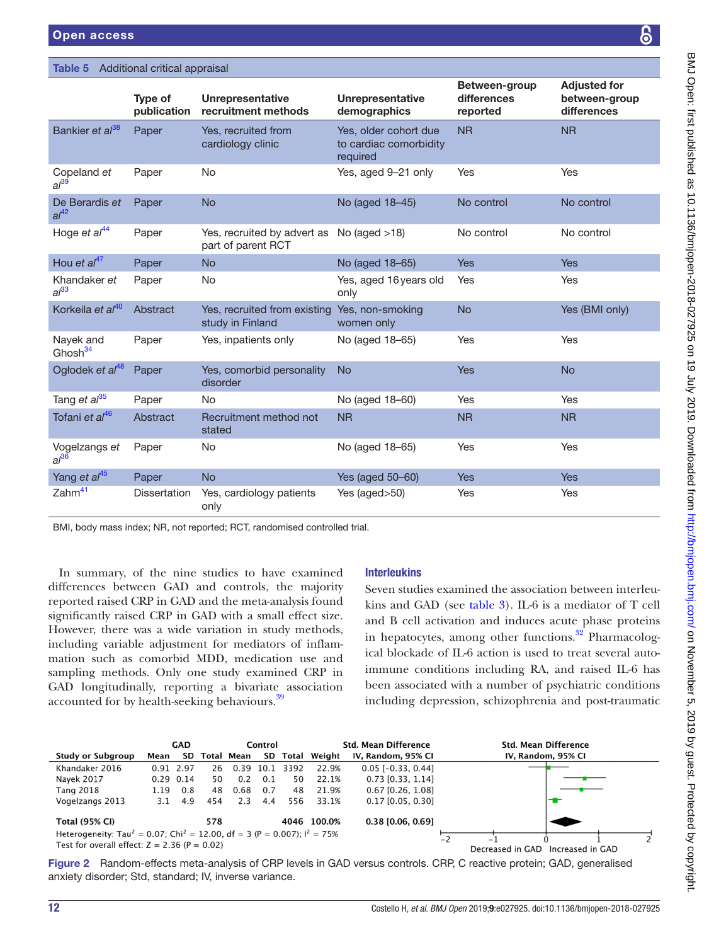<span id="page-11-0"></span>

| Table 5                          | Additional critical appraisal |                                                   |                                                             |                                          |                                                     |
|----------------------------------|-------------------------------|---------------------------------------------------|-------------------------------------------------------------|------------------------------------------|-----------------------------------------------------|
|                                  | Type of<br>publication        | <b>Unrepresentative</b><br>recruitment methods    | <b>Unrepresentative</b><br>demographics                     | Between-group<br>differences<br>reported | <b>Adjusted for</b><br>between-group<br>differences |
| Bankier et al <sup>38</sup>      | Paper                         | Yes, recruited from<br>cardiology clinic          | Yes, older cohort due<br>to cardiac comorbidity<br>required | <b>NR</b>                                | <b>NR</b>                                           |
| Copeland et<br>$al^{39}$         | Paper                         | <b>No</b>                                         | Yes, aged 9-21 only                                         | Yes                                      | Yes                                                 |
| De Berardis et<br>$al^{42}$      | Paper                         | <b>No</b>                                         | No (aged 18-45)                                             | No control                               | No control                                          |
| Hoge et $al^{44}$                | Paper                         | Yes, recruited by advert as<br>part of parent RCT | No (aged $>18$ )                                            | No control                               | No control                                          |
| Hou et $al^{47}$                 | Paper                         | <b>No</b>                                         | No (aged 18-65)                                             | <b>Yes</b>                               | <b>Yes</b>                                          |
| Khandaker et<br>al <sup>33</sup> | Paper                         | No                                                | Yes, aged 16 years old<br>only                              | Yes                                      | Yes                                                 |
| Korkeila et al <sup>40</sup>     | Abstract                      | Yes, recruited from existing<br>study in Finland  | Yes, non-smoking<br>women only                              | <b>No</b>                                | Yes (BMI only)                                      |
| Nayek and<br>Ghosh <sup>34</sup> | Paper                         | Yes, inpatients only                              | No (aged 18-65)                                             | Yes                                      | Yes                                                 |
| Ogłodek et al <sup>48</sup>      | Paper                         | Yes, comorbid personality<br>disorder             | <b>No</b>                                                   | Yes                                      | <b>No</b>                                           |
| Tang et al <sup>35</sup>         | Paper                         | <b>No</b>                                         | No (aged 18-60)                                             | Yes                                      | Yes                                                 |
| Tofani et al <sup>46</sup>       | Abstract                      | Recruitment method not<br>stated                  | <b>NR</b>                                                   | <b>NR</b>                                | <b>NR</b>                                           |
| Vogelzangs et<br>$al^{36}$       | Paper                         | <b>No</b>                                         | No (aged 18-65)                                             | Yes                                      | <b>Yes</b>                                          |
| Yang et al <sup>45</sup>         | Paper                         | <b>No</b>                                         | Yes (aged 50-60)                                            | <b>Yes</b>                               | <b>Yes</b>                                          |
| Zahm <sup>41</sup>               | Dissertation                  | Yes, cardiology patients<br>only                  | Yes (aged>50)                                               | Yes                                      | Yes                                                 |

BMI, body mass index; NR, not reported; RCT, randomised controlled trial.

In summary, of the nine studies to have examined differences between GAD and controls, the majority reported raised CRP in GAD and the meta-analysis found significantly raised CRP in GAD with a small effect size. However, there was a wide variation in study methods, including variable adjustment for mediators of inflammation such as comorbid MDD, medication use and sampling methods. Only one study examined CRP in GAD longitudinally, reporting a bivariate association accounted for by health-seeking behaviours.<sup>[39](#page-15-6)</sup>

### **Interleukins**

Seven studies examined the association between interleukins and GAD (see [table](#page-8-0) 3). IL-6 is a mediator of T cell and B cell activation and induces acute phase proteins in hepatocytes, among other functions. $32$  Pharmacological blockade of IL-6 action is used to treat several autoimmune conditions including RA, and raised IL-6 has been associated with a number of psychiatric conditions including depression, schizophrenia and post-traumatic

|                                                                                                                                                     |      | GAD         |     |            | Control |          |             | <b>Std. Mean Difference</b> |      | <b>Std. Mean Difference</b>       |
|-----------------------------------------------------------------------------------------------------------------------------------------------------|------|-------------|-----|------------|---------|----------|-------------|-----------------------------|------|-----------------------------------|
| Study or Subgroup                                                                                                                                   | Mean | SD.         |     | Total Mean |         | SD Total | Weight      | IV, Random, 95% CI          |      | IV, Random, 95% CI                |
| Khandaker 2016                                                                                                                                      |      | 0.91 2.97   | 26  | 0.39       | 10.1    | 3392     | 22.9%       | $0.05$ [-0.33, 0.44]        |      |                                   |
| <b>Navek 2017</b>                                                                                                                                   |      | $0.29$ 0.14 | 50  | 0.2        | 0.1     | 50       | 22.1%       | $0.73$ [0.33, 1.14]         |      |                                   |
| <b>Tang 2018</b>                                                                                                                                    | 1.19 | 0.8         | 48  | 0.68       | 0.7     | 48       | 21.9%       | $0.67$ [0.26, 1.08]         |      |                                   |
| Vogelzangs 2013                                                                                                                                     | 3.1  | 4.9         | 454 | 2.3        | 4.4     | 556      | 33.1%       | $0.17$ [0.05, 0.30]         |      | --                                |
| <b>Total (95% CI)</b>                                                                                                                               |      |             | 578 |            |         |          | 4046 100.0% | $0.38$ [0.06, 0.69]         |      |                                   |
| Heterogeneity: Tau <sup>2</sup> = 0.07; Chi <sup>2</sup> = 12.00, df = 3 (P = 0.007); $1^2$ = 75%<br>Test for overall effect: $Z = 2.36$ (P = 0.02) |      |             |     |            |         |          |             |                             | $-2$ |                                   |
|                                                                                                                                                     |      |             |     |            |         |          |             |                             |      | Decreased in GAD Increased in GAD |

<span id="page-11-1"></span>Figure 2 Random-effects meta-analysis of CRP levels in GAD versus controls. CRP, C reactive protein; GAD, generalised anxiety disorder; Std, standard; IV, inverse variance.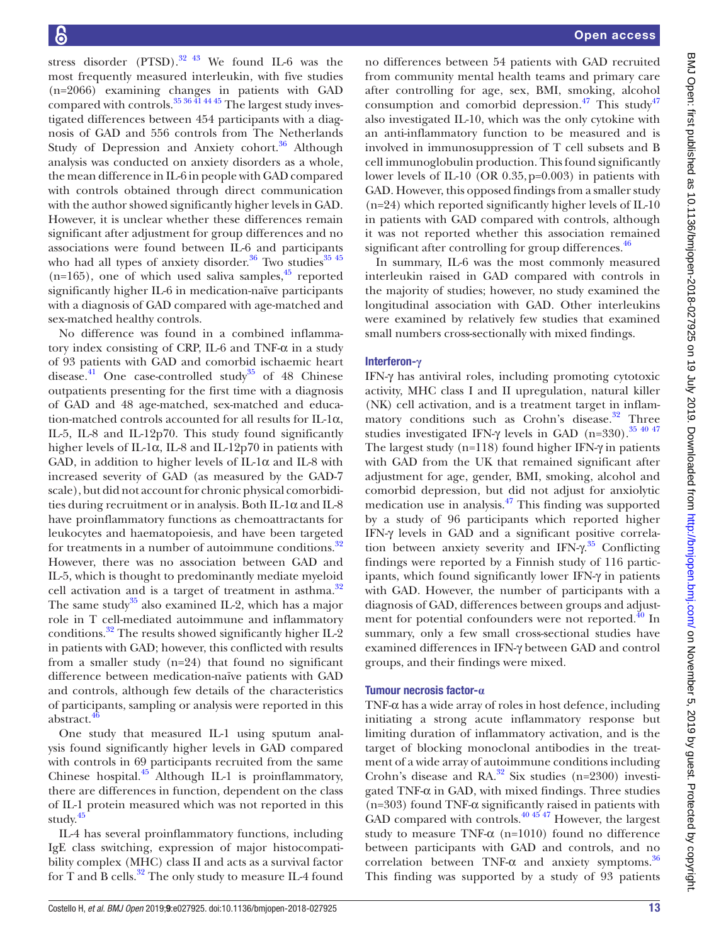stress disorder (PTSD). $32\frac{43}{1}$  We found IL-6 was the most frequently measured interleukin, with five studies (n=2066) examining changes in patients with GAD compared with controls. $3536414445$  The largest study investigated differences between 454 participants with a diagnosis of GAD and 556 controls from The Netherlands Study of Depression and Anxiety cohort. $36$  Although analysis was conducted on anxiety disorders as a whole, the mean difference in IL-6 in people with GAD compared with controls obtained through direct communication with the author showed significantly higher levels in GAD. However, it is unclear whether these differences remain significant after adjustment for group differences and no associations were found between IL-6 and participants who had all types of anxiety disorder. $36$  Two studies  $35\frac{45}{10}$  $(n=165)$ , one of which used saliva samples,  $45$  reported significantly higher IL-6 in medication-naïve participants with a diagnosis of GAD compared with age-matched and sex-matched healthy controls.

No difference was found in a combined inflammatory index consisting of CRP, IL-6 and TNF-α in a study of 93 patients with GAD and comorbid ischaemic heart disease.<sup>41</sup> One case-controlled study<sup>35</sup> of 48 Chinese outpatients presenting for the first time with a diagnosis of GAD and 48 age-matched, sex-matched and education-matched controls accounted for all results for IL-1α, IL-5, IL-8 and IL-12p70. This study found significantly higher levels of IL-1α, IL-8 and IL-12p70 in patients with GAD, in addition to higher levels of IL-1α and IL-8 with increased severity of GAD (as measured by the GAD-7 scale), but did not account for chronic physical comorbidities during recruitment or in analysis. Both IL-1 $\alpha$  and IL-8 have proinflammatory functions as chemoattractants for leukocytes and haematopoiesis, and have been targeted for treatments in a number of autoimmune conditions. $32$ However, there was no association between GAD and IL-5, which is thought to predominantly mediate myeloid cell activation and is a target of treatment in asthma.<sup>[32](#page-15-21)</sup> The same study<sup>35</sup> also examined IL-2, which has a major role in T cell-mediated autoimmune and inflammatory conditions[.32](#page-15-21) The results showed significantly higher IL-2 in patients with GAD; however, this conflicted with results from a smaller study (n=24) that found no significant difference between medication-naïve patients with GAD and controls, although few details of the characteristics of participants, sampling or analysis were reported in this abstract.<sup>4</sup>

One study that measured IL-1 using sputum analysis found significantly higher levels in GAD compared with controls in 69 participants recruited from the same Chinese hospital. $45$  Although IL-1 is proinflammatory, there are differences in function, dependent on the class of IL-1 protein measured which was not reported in this study[.45](#page-15-17)

IL-4 has several proinflammatory functions, including IgE class switching, expression of major histocompatibility complex (MHC) class II and acts as a survival factor for T and B cells. $32$  The only study to measure IL-4 found

no differences between 54 patients with GAD recruited from community mental health teams and primary care after controlling for age, sex, BMI, smoking, alcohol consumption and comorbid depression.<sup>[47](#page-15-9)</sup> This study<sup>47</sup> also investigated IL-10, which was the only cytokine with an anti-inflammatory function to be measured and is involved in immunosuppression of T cell subsets and B cell immunoglobulin production. This found significantly lower levels of IL-10 (OR 0.35,p=0.003) in patients with GAD. However, this opposed findings from a smaller study (n=24) which reported significantly higher levels of IL-10 in patients with GAD compared with controls, although it was not reported whether this association remained significant after controlling for group differences.<sup>[46](#page-15-15)</sup>

In summary, IL-6 was the most commonly measured interleukin raised in GAD compared with controls in the majority of studies; however, no study examined the longitudinal association with GAD. Other interleukins were examined by relatively few studies that examined small numbers cross-sectionally with mixed findings.

# Interferon-**γ**

IFN-γ has antiviral roles, including promoting cytotoxic activity, MHC class I and II upregulation, natural killer (NK) cell activation, and is a treatment target in inflam-matory conditions such as Crohn's disease.<sup>[32](#page-15-21)</sup> Three studies investigated IFN- $\gamma$  levels in GAD (n=330).<sup>35 40 47</sup> The largest study (n=118) found higher IFN-γ in patients with GAD from the UK that remained significant after adjustment for age, gender, BMI, smoking, alcohol and comorbid depression, but did not adjust for anxiolytic medication use in analysis. $47$  This finding was supported by a study of 96 participants which reported higher IFN-γ levels in GAD and a significant positive correlation between anxiety severity and IFN- $\gamma$ .<sup>[35](#page-15-14)</sup> Conflicting findings were reported by a Finnish study of 116 participants, which found significantly lower IFN-γ in patients with GAD. However, the number of participants with a diagnosis of GAD, differences between groups and adjustment for potential confounders were not reported. $40$  In summary, only a few small cross-sectional studies have examined differences in IFN-γ between GAD and control groups, and their findings were mixed.

### Tumour necrosis factor-**α**

TNF- $\alpha$  has a wide array of roles in host defence, including initiating a strong acute inflammatory response but limiting duration of inflammatory activation, and is the target of blocking monoclonal antibodies in the treatment of a wide array of autoimmune conditions including Crohn's disease and RA. $^{32}$  Six studies (n=2300) investigated TNF- $\alpha$  in GAD, with mixed findings. Three studies (n=303) found TNF- $\alpha$  significantly raised in patients with GAD compared with controls.<sup>40 45'47</sup> However, the largest study to measure TNF- $\alpha$  (n=1010) found no difference between participants with GAD and controls, and no correlation between TNF- $\alpha$  and anxiety symptoms.<sup>[36](#page-15-16)</sup> This finding was supported by a study of 93 patients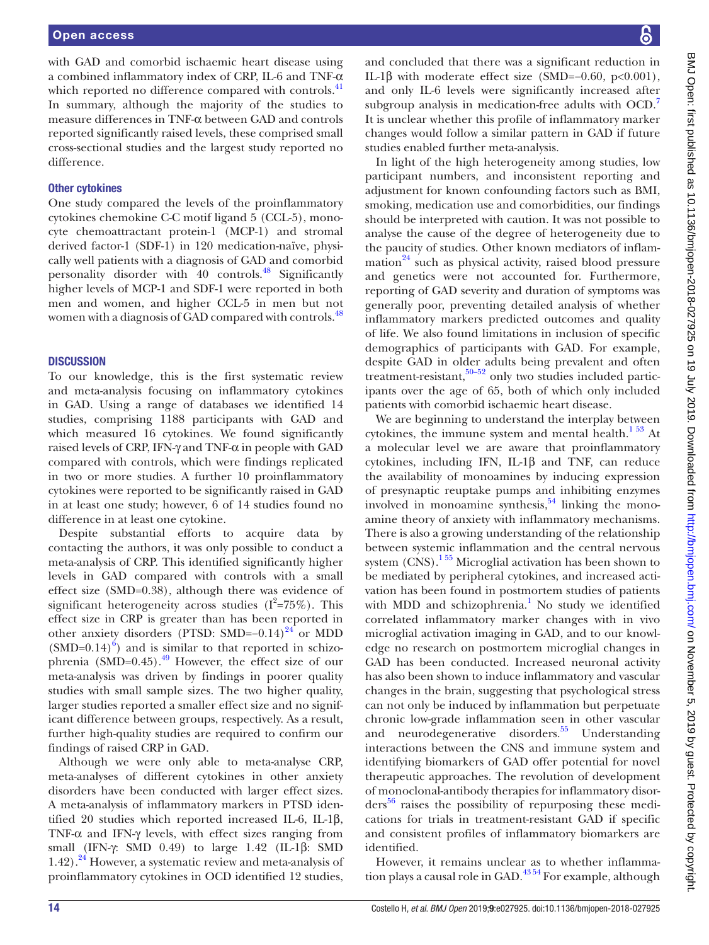with GAD and comorbid ischaemic heart disease using a combined inflammatory index of CRP, IL-6 and TNF-α which reported no difference compared with controls.<sup>[41](#page-15-18)</sup> In summary, although the majority of the studies to measure differences in TNF-α between GAD and controls reported significantly raised levels, these comprised small cross-sectional studies and the largest study reported no difference.

#### Other cytokines

One study compared the levels of the proinflammatory cytokines chemokine C-C motif ligand 5 (CCL-5), monocyte chemoattractant protein-1 (MCP-1) and stromal derived factor-1 (SDF-1) in 120 medication-naïve, physically well patients with a diagnosis of GAD and comorbid personality disorder with  $40$  controls.<sup>48</sup> Significantly higher levels of MCP-1 and SDF-1 were reported in both men and women, and higher CCL-5 in men but not women with a diagnosis of GAD compared with controls.<sup>48</sup>

#### **DISCUSSION**

To our knowledge, this is the first systematic review and meta-analysis focusing on inflammatory cytokines in GAD. Using a range of databases we identified 14 studies, comprising 1188 participants with GAD and which measured 16 cytokines. We found significantly raised levels of CRP, IFN-γ and TNF-α in people with GAD compared with controls, which were findings replicated in two or more studies. A further 10 proinflammatory cytokines were reported to be significantly raised in GAD in at least one study; however, 6 of 14 studies found no difference in at least one cytokine.

Despite substantial efforts to acquire data by contacting the authors, it was only possible to conduct a meta-analysis of CRP. This identified significantly higher levels in GAD compared with controls with a small effect size (SMD=0.38), although there was evidence of significant heterogeneity across studies  $(I^2=75\%)$ . This effect size in CRP is greater than has been reported in other anxiety disorders (PTSD: SMD=–0.14)<sup>[24](#page-14-19)</sup> or MDD  $(SMD=0.14)$ <sup>[6](#page-14-4)</sup>) and is similar to that reported in schizophrenia  $(SMD=0.45)$ .<sup>49</sup> However, the effect size of our meta-analysis was driven by findings in poorer quality studies with small sample sizes. The two higher quality, larger studies reported a smaller effect size and no significant difference between groups, respectively. As a result, further high-quality studies are required to confirm our findings of raised CRP in GAD.

Although we were only able to meta-analyse CRP, meta-analyses of different cytokines in other anxiety disorders have been conducted with larger effect sizes. A meta-analysis of inflammatory markers in PTSD identified 20 studies which reported increased IL-6, IL-1β, TNF-α and IFN-γ levels, with effect sizes ranging from small (IFN-γ: SMD 0.49) to large 1.42 (IL-1β: SMD 1.42).<sup>24</sup> However, a systematic review and meta-analysis of proinflammatory cytokines in OCD identified 12 studies,

and concluded that there was a significant reduction in IL-1β with moderate effect size (SMD=−0.60, p<0.001), and only IL-6 levels were significantly increased after subgroup analysis in medication-free adults with OCD.<sup>7</sup> It is unclear whether this profile of inflammatory marker changes would follow a similar pattern in GAD if future studies enabled further meta-analysis.

In light of the high heterogeneity among studies, low participant numbers, and inconsistent reporting and adjustment for known confounding factors such as BMI, smoking, medication use and comorbidities, our findings should be interpreted with caution. It was not possible to analyse the cause of the degree of heterogeneity due to the paucity of studies. Other known mediators of inflammation $^{24}$  such as physical activity, raised blood pressure and genetics were not accounted for. Furthermore, reporting of GAD severity and duration of symptoms was generally poor, preventing detailed analysis of whether inflammatory markers predicted outcomes and quality of life. We also found limitations in inclusion of specific demographics of participants with GAD. For example, despite GAD in older adults being prevalent and often treatment-resistant, $50-52$  only two studies included participants over the age of 65, both of which only included patients with comorbid ischaemic heart disease.

We are beginning to understand the interplay between cytokines, the immune system and mental health. $1\frac{53}{2}$  At a molecular level we are aware that proinflammatory cytokines, including IFN, IL-1β and TNF, can reduce the availability of monoamines by inducing expression of presynaptic reuptake pumps and inhibiting enzymes involved in monoamine synthesis, $54$  linking the monoamine theory of anxiety with inflammatory mechanisms. There is also a growing understanding of the relationship between systemic inflammation and the central nervous system  $(CNS)$ .<sup>155</sup> Microglial activation has been shown to be mediated by peripheral cytokines, and increased activation has been found in postmortem studies of patients with MDD and schizophrenia.<sup>[1](#page-14-0)</sup> No study we identified correlated inflammatory marker changes with in vivo microglial activation imaging in GAD, and to our knowledge no research on postmortem microglial changes in GAD has been conducted. Increased neuronal activity has also been shown to induce inflammatory and vascular changes in the brain, suggesting that psychological stress can not only be induced by inflammation but perpetuate chronic low-grade inflammation seen in other vascular and neurodegenerative disorders.<sup>55</sup> Understanding interactions between the CNS and immune system and identifying biomarkers of GAD offer potential for novel therapeutic approaches. The revolution of development of monoclonal-antibody therapies for inflammatory disor $ders<sup>56</sup>$  raises the possibility of repurposing these medications for trials in treatment-resistant GAD if specific and consistent profiles of inflammatory biomarkers are identified.

However, it remains unclear as to whether inflammation plays a causal role in GAD.<sup>4354</sup> For example, although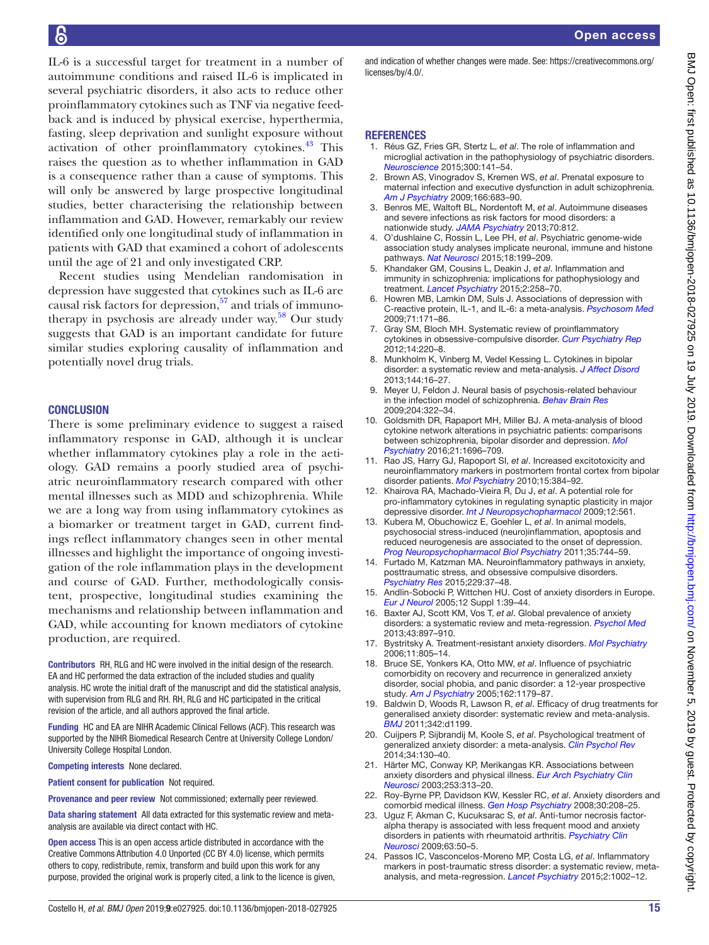IL-6 is a successful target for treatment in a number of autoimmune conditions and raised IL-6 is implicated in several psychiatric disorders, it also acts to reduce other proinflammatory cytokines such as TNF via negative feedback and is induced by physical exercise, hyperthermia, fasting, sleep deprivation and sunlight exposure without activation of other proinflammatory cytokines.<sup>43</sup> This raises the question as to whether inflammation in GAD is a consequence rather than a cause of symptoms. This will only be answered by large prospective longitudinal studies, better characterising the relationship between inflammation and GAD. However, remarkably our review identified only one longitudinal study of inflammation in patients with GAD that examined a cohort of adolescents until the age of 21 and only investigated CRP.

Recent studies using Mendelian randomisation in depression have suggested that cytokines such as IL-6 are causal risk factors for depression, $57$  and trials of immuno-therapy in psychosis are already under way.<sup>[58](#page-15-30)</sup> Our study suggests that GAD is an important candidate for future similar studies exploring causality of inflammation and potentially novel drug trials.

#### **CONCLUSION**

There is some preliminary evidence to suggest a raised inflammatory response in GAD, although it is unclear whether inflammatory cytokines play a role in the aetiology. GAD remains a poorly studied area of psychiatric neuroinflammatory research compared with other mental illnesses such as MDD and schizophrenia. While we are a long way from using inflammatory cytokines as a biomarker or treatment target in GAD, current findings reflect inflammatory changes seen in other mental illnesses and highlight the importance of ongoing investigation of the role inflammation plays in the development and course of GAD. Further, methodologically consistent, prospective, longitudinal studies examining the mechanisms and relationship between inflammation and GAD, while accounting for known mediators of cytokine production, are required.

Contributors RH, RLG and HC were involved in the initial design of the research. EA and HC performed the data extraction of the included studies and quality analysis. HC wrote the initial draft of the manuscript and did the statistical analysis, with supervision from RLG and RH. RH, RLG and HC participated in the critical revision of the article, and all authors approved the final article.

Funding HC and EA are NIHR Academic Clinical Fellows (ACF). This research was supported by the NIHR Biomedical Research Centre at University College London/ University College Hospital London.

Competing interests None declared.

Patient consent for publication Not required.

Provenance and peer review Not commissioned; externally peer reviewed.

Data sharing statement All data extracted for this systematic review and metaanalysis are available via direct contact with HC.

Open access This is an open access article distributed in accordance with the Creative Commons Attribution 4.0 Unported (CC BY 4.0) license, which permits others to copy, redistribute, remix, transform and build upon this work for any purpose, provided the original work is properly cited, a link to the licence is given,

Open access

and indication of whether changes were made. See: [https://creativecommons.org/](https://creativecommons.org/licenses/by/4.0/) [licenses/by/4.0/](https://creativecommons.org/licenses/by/4.0/).

#### **REFERENCES**

- <span id="page-14-0"></span>1. Réus GZ, Fries GR, Stertz L, *et al*. The role of inflammation and microglial activation in the pathophysiology of psychiatric disorders. *[Neuroscience](http://dx.doi.org/10.1016/j.neuroscience.2015.05.018)* 2015;300:141–54.
- <span id="page-14-1"></span>2. Brown AS, Vinogradov S, Kremen WS, *et al*. Prenatal exposure to maternal infection and executive dysfunction in adult schizophrenia. *[Am J Psychiatry](http://dx.doi.org/10.1176/appi.ajp.2008.08010089)* 2009;166:683–90.
- 3. Benros ME, Waltoft BL, Nordentoft M, *et al*. Autoimmune diseases and severe infections as risk factors for mood disorders: a nationwide study. *[JAMA Psychiatry](http://dx.doi.org/10.1001/jamapsychiatry.2013.1111)* 2013;70:812.
- <span id="page-14-2"></span>4. O'dushlaine C, Rossin L, Lee PH, *et al*. Psychiatric genome-wide association study analyses implicate neuronal, immune and histone pathways. *[Nat Neurosci](http://dx.doi.org/10.1038/nn.3922)* 2015;18:199–209.
- <span id="page-14-3"></span>5. Khandaker GM, Cousins L, Deakin J, *et al*. Inflammation and immunity in schizophrenia: implications for pathophysiology and treatment. *[Lancet Psychiatry](http://dx.doi.org/10.1016/S2215-0366(14)00122-9)* 2015;2:258–70.
- <span id="page-14-4"></span>6. Howren MB, Lamkin DM, Suls J. Associations of depression with C-reactive protein, IL-1, and IL-6: a meta-analysis. *[Psychosom Med](http://dx.doi.org/10.1097/PSY.0b013e3181907c1b)* 2009;71:171–86.
- <span id="page-14-5"></span>7. Gray SM, Bloch MH. Systematic review of proinflammatory cytokines in obsessive-compulsive disorder. *[Curr Psychiatry Rep](http://dx.doi.org/10.1007/s11920-012-0272-0)* 2012;14:220–8.
- <span id="page-14-6"></span>8. Munkholm K, Vinberg M, Vedel Kessing L. Cytokines in bipolar disorder: a systematic review and meta-analysis. *[J Affect Disord](http://dx.doi.org/10.1016/j.jad.2012.06.010)* 2013;144:16–27.
- <span id="page-14-7"></span>9. Meyer U, Feldon J. Neural basis of psychosis-related behaviour in the infection model of schizophrenia. *[Behav Brain Res](http://dx.doi.org/10.1016/j.bbr.2008.12.022)* 2009;204:322–34.
- 10. Goldsmith DR, Rapaport MH, Miller BJ. A meta-analysis of blood cytokine network alterations in psychiatric patients: comparisons between schizophrenia, bipolar disorder and depression. *[Mol](http://dx.doi.org/10.1038/mp.2016.3)  [Psychiatry](http://dx.doi.org/10.1038/mp.2016.3)* 2016;21:1696–709.
- <span id="page-14-8"></span>11. Rao JS, Harry GJ, Rapoport SI, *et al*. Increased excitotoxicity and neuroinflammatory markers in postmortem frontal cortex from bipolar disorder patients. *[Mol Psychiatry](http://dx.doi.org/10.1038/mp.2009.47)* 2010;15:384–92.
- <span id="page-14-9"></span>12. Khairova RA, Machado-Vieira R, Du J, *et al*. A potential role for pro-inflammatory cytokines in regulating synaptic plasticity in major depressive disorder. *[Int J Neuropsychopharmacol](http://dx.doi.org/10.1017/S1461145709009924)* 2009;12:561.
- <span id="page-14-10"></span>13. Kubera M, Obuchowicz E, Goehler L, *et al*. In animal models, psychosocial stress-induced (neuro)inflammation, apoptosis and reduced neurogenesis are associated to the onset of depression. *[Prog Neuropsychopharmacol Biol Psychiatry](http://dx.doi.org/10.1016/j.pnpbp.2010.08.026)* 2011;35:744–59.
- <span id="page-14-11"></span>14. Furtado M, Katzman MA. Neuroinflammatory pathways in anxiety, posttraumatic stress, and obsessive compulsive disorders. *[Psychiatry Res](http://dx.doi.org/10.1016/j.psychres.2015.05.036)* 2015;229:37–48.
- <span id="page-14-12"></span>15. Andlin-Sobocki P, Wittchen HU. Cost of anxiety disorders in Europe. *[Eur J Neurol](http://dx.doi.org/10.1111/j.1468-1331.2005.01196.x)* 2005;12 Suppl 1:39–44.
- 16. Baxter AJ, Scott KM, Vos T, *et al*. Global prevalence of anxiety disorders: a systematic review and meta-regression. *[Psychol Med](http://dx.doi.org/10.1017/S003329171200147X)* 2013;43:897–910.
- <span id="page-14-13"></span>17. Bystritsky A. Treatment-resistant anxiety disorders. *[Mol Psychiatry](http://dx.doi.org/10.1038/sj.mp.4001852)* 2006;11:805–14.
- <span id="page-14-14"></span>18. Bruce SE, Yonkers KA, Otto MW, *et al*. Influence of psychiatric comorbidity on recovery and recurrence in generalized anxiety disorder, social phobia, and panic disorder: a 12-year prospective study. *[Am J Psychiatry](http://dx.doi.org/10.1176/appi.ajp.162.6.1179)* 2005;162:1179–87.
- <span id="page-14-15"></span>19. Baldwin D, Woods R, Lawson R, *et al*. Efficacy of drug treatments for generalised anxiety disorder: systematic review and meta-analysis. *[BMJ](http://dx.doi.org/10.1136/bmj.d1199)* 2011;342:d1199.
- <span id="page-14-16"></span>20. Cuijpers P, Sijbrandij M, Koole S, *et al*. Psychological treatment of generalized anxiety disorder: a meta-analysis. *[Clin Psychol Rev](http://dx.doi.org/10.1016/j.cpr.2014.01.002)* 2014;34:130–40.
- <span id="page-14-17"></span>21. Härter MC, Conway KP, Merikangas KR. Associations between anxiety disorders and physical illness. *[Eur Arch Psychiatry Clin](http://dx.doi.org/10.1007/s00406-003-0449-y)  [Neurosci](http://dx.doi.org/10.1007/s00406-003-0449-y)* 2003;253:313–20.
- 22. Roy-Byrne PP, Davidson KW, Kessler RC, *et al*. Anxiety disorders and comorbid medical illness. *[Gen Hosp Psychiatry](http://dx.doi.org/10.1016/j.genhosppsych.2007.12.006)* 2008;30:208–25.
- <span id="page-14-18"></span>23. Uguz F, Akman C, Kucuksarac S, *et al*. Anti-tumor necrosis factoralpha therapy is associated with less frequent mood and anxiety disorders in patients with rheumatoid arthritis. *[Psychiatry Clin](http://dx.doi.org/10.1111/j.1440-1819.2008.01905.x)  [Neurosci](http://dx.doi.org/10.1111/j.1440-1819.2008.01905.x)* 2009;63:50–5.
- <span id="page-14-19"></span>24. Passos IC, Vasconcelos-Moreno MP, Costa LG, *et al*. Inflammatory markers in post-traumatic stress disorder: a systematic review, metaanalysis, and meta-regression. *[Lancet Psychiatry](http://dx.doi.org/10.1016/S2215-0366(15)00309-0)* 2015;2:1002–12.